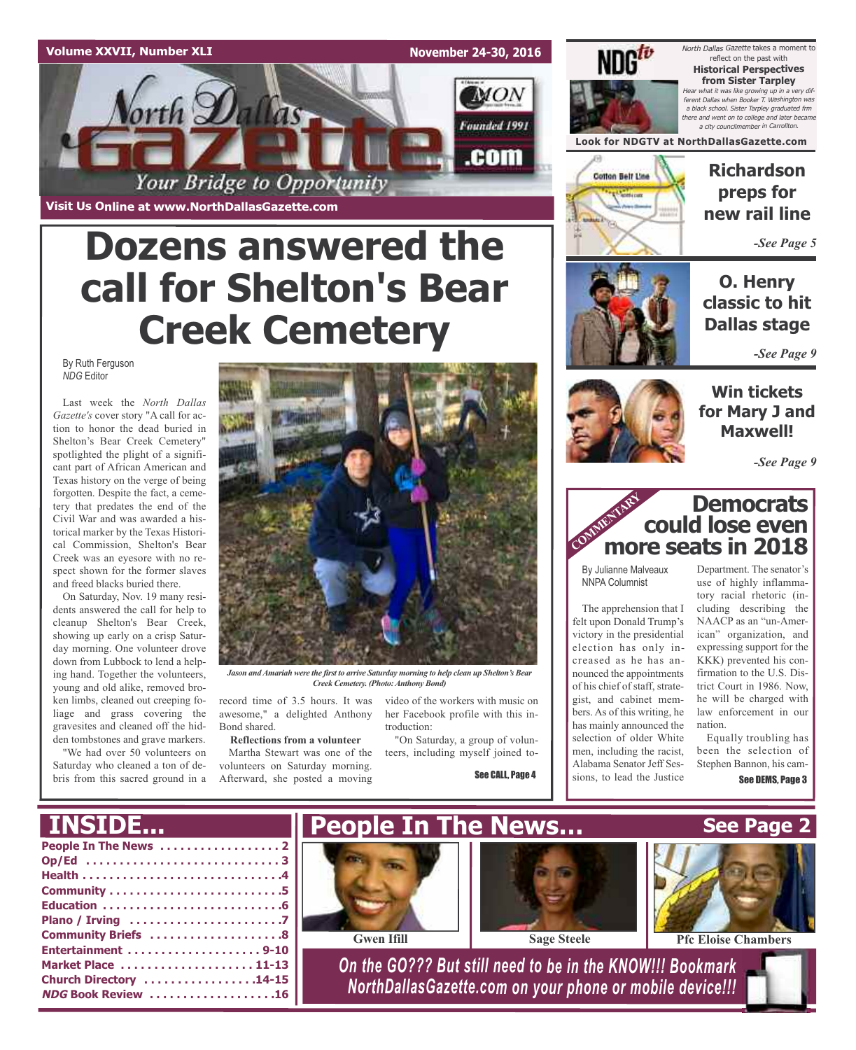#### **Volume XXVII, Number XLI**

**Visit Us Online at www.NorthDallasGazette.com**

orth **Dal** 

**November 24-30, 2016**

**MON** 

Founded 1991

.com



North Dallas Gazette takes a moment to reflect on the past with **Historical Perspectives from Sister Tarpley** Hear what it was like growing up in <sup>a</sup> very different Dallas when Booker T. Washington was <sup>a</sup> black school. Sister Tarpley graduated frm there and went on to college and later became a city councilmember in Carrol.

**Look for NDGTV at NorthDallasGazette.com**



**Richardson preps for new rail line**

*-See Page 5*

**O. Henry classic to hit Dallas stage**

*-See Page 9*



**for Mary J and Maxwell!**

*-See Page 9*



felt upon Donald Trump's election has only inof his chief of staff, strategist, and cabinet memselection of older White Alabama Senator Jeff Sessions, to lead the Justice

Department. The senator's use of highly inflammatory racial rhetoric (including describing the NAACP as an "un-American" organization, and expressing support for the KKK) prevented his confirmation to the U.S. District Court in 1986. Now, he will be charged with law enforcement in our nation.

Equally troubling has been the selection of Stephen Bannon, his cam-See DEMS, Page 3

**Dozens answered the call for Shelton's Bear Creek Cemetery**

Your Bridge to Opportunity

By Ruth Ferguson *NDG* Editor

Last week the *North Dallas Gazette's* cover story "A call for action to honor the dead buried in Shelton's Bear Creek Cemetery" spotlighted the plight of a significant part of African American and Texas history on the verge of being forgotten. Despite the fact, a cemetery that predates the end of the Civil War and was awarded a historical marker by the Texas Historical Commission, Shelton's Bear Creek was an eyesore with no respect shown for the former slaves and freed blacks buried there.

On Saturday, Nov. 19 many residents answered the call for help to cleanup Shelton's Bear Creek, showing up early on a crisp Saturday morning. One volunteer drove down from Lubbock to lend a helping hand. Together the volunteers, young and old alike, removed broken limbs, cleaned out creeping foliage and grass covering the gravesites and cleaned off the hidden tombstones and grave markers.

"We had over 50 volunteers on Saturday who cleaned a ton of debris from this sacred ground in a



*Jason andAmariah were the first to arrive Saturday morning to help clean up Shelton's Bear Creek Cemetery. (Photo:Anthony Bond)*

record time of 3.5 hours. It was awesome," a delighted Anthony Bond shared.

**Reflections from a volunteer** Martha Stewart was one of the volunteers on Saturday morning. Afterward, she posted a moving video of the workers with music on her Facebook profile with this introduction:

"On Saturday, a group of volunteers, including myself joined to-

See CALL, Page 4



## By Julianne Malveaux NNPA Columnist The apprehension that I victory in the presidential

creased as he has announced the appointments bers. As of this writing, he has mainly announced the men, including the racist,

| INSIDE                                                                                    | People In The News                                                                                                      |                    | See Page 2                 |
|-------------------------------------------------------------------------------------------|-------------------------------------------------------------------------------------------------------------------------|--------------------|----------------------------|
| Community Briefs 8                                                                        | <b>Gwen Ifill</b>                                                                                                       | <b>Sage Steele</b> | <b>Pfc Eloise Chambers</b> |
| Entertainment 9-10<br>Market Place  11-13<br>Church Directory 14-15<br>NDG Book Review 16 | On the GO??? But still need to be in the KNOW !!! Bookmark<br>NorthDallasGazette.com on your phone or mobile device !!! |                    |                            |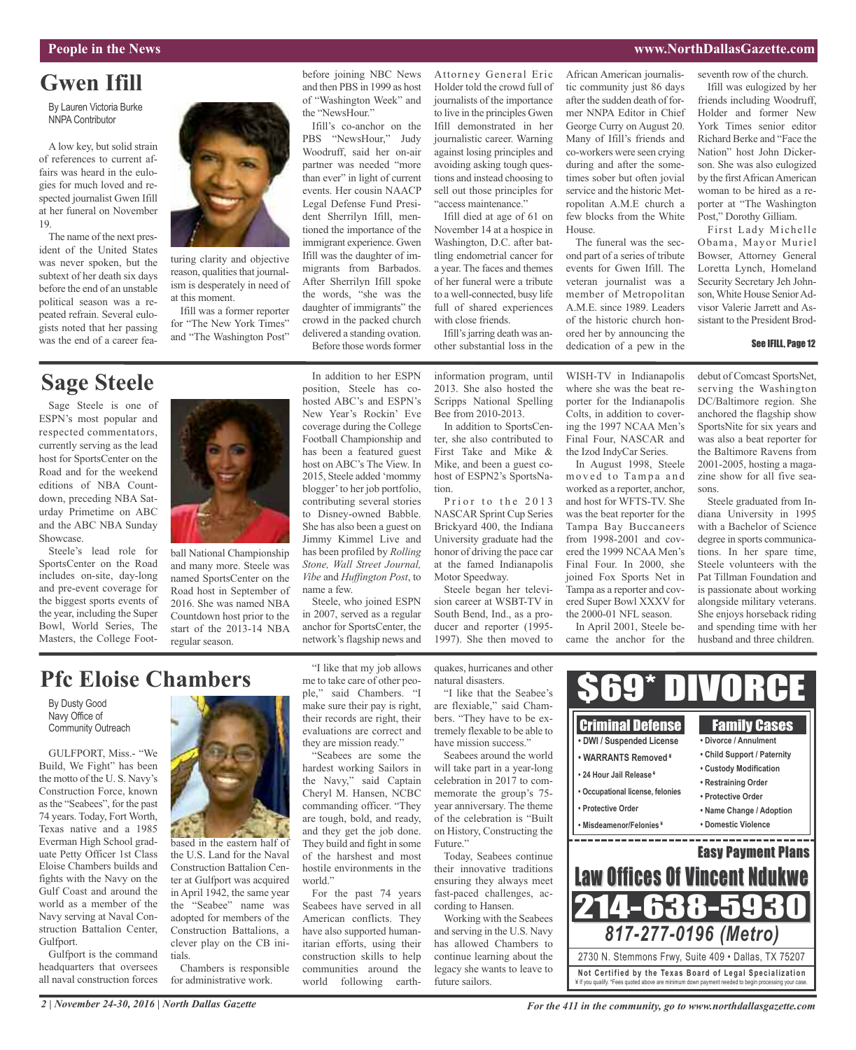#### **People in the News www.NorthDallasGazette.com**

# **Gwen Ifill**

By Lauren Victoria Burke NNPA Contributor

A low key, but solid strain of references to current affairs was heard in the eulogies for much loved and respected journalist Gwen Ifill at her funeral on November 19.

The name of the next president of the United States was never spoken, but the subtext of her death six days before the end of an unstable political season was a repeated refrain. Several eulogists noted that her passing was the end of a career fea-

# **Sage Steele**

Sage Steele is one of ESPN's most popular and respected commentators, currently serving as the lead host for SportsCenter on the Road and for the weekend editions of NBA Countdown, preceding NBA Saturday Primetime on ABC and the ABC NBA Sunday Showcase.

Steele's lead role for SportsCenter on the Road includes on-site, day-long and pre-event coverage for the biggest sports events of the year, including the Super Bowl, World Series, The Masters, the College Foot-



turing clarity and objective reason, qualities that journalism is desperately in need of

Ifill was a former reporter for "The New York Times" and "The Washington Post"

at this moment.

ball National Championship and many more. Steele was named SportsCenter on the Road host in September of 2016. She was named NBA Countdown host prior to the start of the 2013-14 NBA regular season.

before joining NBC News and then PBS in 1999 as host of "Washington Week" and the "NewsHour."

Ifill's co-anchor on the PBS "NewsHour," Judy Woodruff, said her on-air partner was needed "more than ever" in light of current events. Her cousin NAACP Legal Defense Fund President Sherrilyn Ifill, mentioned the importance of the immigrant experience. Gwen Ifill was the daughter of immigrants from Barbados. After Sherrilyn Ifill spoke the words, "she was the daughter of immigrants" the crowd in the packed church delivered a standing ovation. Before those words former

In addition to her ESPN position, Steele has cohosted ABC's and ESPN's New Year's Rockin' Eve coverage during the College Football Championship and has been a featured guest host on ABC's The View. In 2015, Steele added 'mommy blogger'to her job portfolio, contributing several stories to Disney-owned Babble. She has also been a guest on Jimmy Kimmel Live and has been profiled by *Rolling Stone, Wall Street Journal, Vibe* and *Huffington Post*, to

Attorney General Eric Holder told the crowd full of journalists of the importance to live in the principles Gwen Ifill demonstrated in her journalistic career. Warning against losing principles and avoiding asking tough questions and instead choosing to sell out those principles for "access maintenance."

Ifill died at age of 61 on November 14 at a hospice in Washington, D.C. after battling endometrial cancer for a year. The faces and themes of her funeral were a tribute to a well-connected, busy life full of shared experiences with close friends.

Ifill's jarring death was another substantial loss in the

information program, until 2013. She also hosted the Scripps National Spelling Bee from 2010-2013.

In addition to SportsCenter, she also contributed to First Take and Mike & Mike, and been a guest cohost of ESPN2's SportsNation.

Prior to the 2013 NASCAR Sprint Cup Series Brickyard 400, the Indiana University graduate had the honor of driving the pace car at the famed Indianapolis Motor Speedway.

Steele began her television career at WSBT-TV in South Bend, Ind., as a producer and reporter (1995- 1997). She then moved to African American journalistic community just 86 days after the sudden death of former NNPA Editor in Chief George Curry on August 20. Many of Ifill's friends and co-workers were seen crying during and after the sometimes sober but often jovial service and the historic Metropolitan A.M.E church a few blocks from the White House.

The funeral was the second part of a series of tribute events for Gwen Ifill. The veteran journalist was a member of Metropolitan A.M.E. since 1989. Leaders of the historic church honored her by announcing the dedication of a pew in the

WISH-TV in Indianapolis where she was the beat reporter for the Indianapolis Colts, in addition to covering the 1997 NCAA Men's Final Four, NASCAR and the Izod IndyCar Series. In August 1998, Steele moved to Tampa and worked as a reporter, anchor, and host for WFTS-TV. She was the beat reporter for the Tampa Bay Buccaneers from 1998-2001 and covered the 1999 NCAA Men's Final Four. In 2000, she joined Fox Sports Net in Tampa as a reporter and covered Super Bowl XXXV for the 2000-01 NFL season. In April 2001, Steele became the anchor for the

Ifill was eulogized by her friends including Woodruff, Holder and former New York Times senior editor Richard Berke and "Face the Nation" host John Dickerson. She was also eulogized by the first African American woman to be hired as a reporter at "The Washington Post," Dorothy Gilliam.

seventh row of the church.

First Lady Michelle Obama, Mayor Muriel Bowser, Attorney General Loretta Lynch, Homeland Security Secretary Jeh Johnson, White House Senior Advisor Valerie Jarrett and Assistant to the President Brod-

#### See IFILL, Page 12

debut of Comcast SportsNet, serving the Washington DC/Baltimore region. She anchored the flagship show SportsNite for six years and was also a beat reporter for the Baltimore Ravens from 2001-2005, hosting a magazine show for all five seasons.

Steele graduated from Indiana University in 1995 with a Bachelor of Science degree in sports communications. In her spare time, Steele volunteers with the Pat Tillman Foundation and is passionate about working alongside military veterans. She enjoys horseback riding and spending time with her husband and three children.

\$69\* DIVORCE "I like that the Seabee's Criminal Defense Family Cases **• DWI / Suspended License • Divorce / Annulment • Child Support / Paternity** Seabees around the world **• WARRANTS Removed ¥ • Custody Modification • 24 Hour Jail Release ¥ • Restraining Order • Occupational license, felonies • Protective Order • Protective Order • Name Change / Adoption • Misdeamenor/Felonies ¥ • Domestic Violence** the control of the control of the control of the control of the control of \_\_\_\_\_\_\_\_\_\_\_\_ Easy Payment Plans Law Offices Of Vincent Ndukwe 214-638-5930 *817-277-0196 (Metro)* 2730 N. Stemmons Frwy, Suite 409 • Dallas, TX 75207 **Not Ce rtified by the Te x a s Boa rd of Lega l Spe c ia l i za tion** ¥ If you qualify. \*Fees quoted above are minimum down payment needed to begin processing your case.

**Pfc Eloise Chambers**

By Dusty Good Navy Office of Community Outreach

GULFPORT, Miss.- "We Build, We Fight" has been the motto of the U. S. Navy's Construction Force, known asthe "Seabees", for the past 74 years. Today, Fort Worth, Texas native and a 1985 Everman High School graduate Petty Officer 1st Class Eloise Chambers builds and fights with the Navy on the Gulf Coast and around the world as a member of the Navy serving at Naval Construction Battalion Center, Gulfport.

Gulfport is the command headquarters that oversees all naval construction forces



the U.S. Land for the Naval Construction Battalion Center at Gulfport was acquired in April 1942, the same year the "Seabee" name was adopted for members of the Construction Battalions, a clever play on the CB initials.

Chambers is responsible for administrative work.

"I like that my job allows me to take care of other people," said Chambers. "I make sure their pay is right, their records are right, their evaluations are correct and they are mission ready."

Steele, who joined ESPN in 2007, served as a regular anchor for SportsCenter, the network's flagship news and

name a few.

"Seabees are some the hardest working Sailors in the Navy," said Captain Cheryl M. Hansen, NCBC commanding officer. "They are tough, bold, and ready, and they get the job done. They build and fight in some of the harshest and most hostile environments in the world."

For the past 74 years Seabees have served in all American conflicts. They have also supported humanitarian efforts, using their construction skills to help communities around the world following earthquakes, hurricanes and other natural disasters.

are flexiable," said Chambers. "They have to be extremely flexable to be able to have mission success."

will take part in a year-long celebration in 2017 to commemorate the group's 75 year anniversary. The theme of the celebration is "Built on History, Constructing the Future."

Today, Seabees continue their innovative traditions ensuring they always meet fast-paced challenges, according to Hansen.

Working with the Seabees and serving in the U.S. Navy has allowed Chambers to continue learning about the legacy she wants to leave to future sailors.

*For the 411 in the community, go to www.northdallasgazette.com*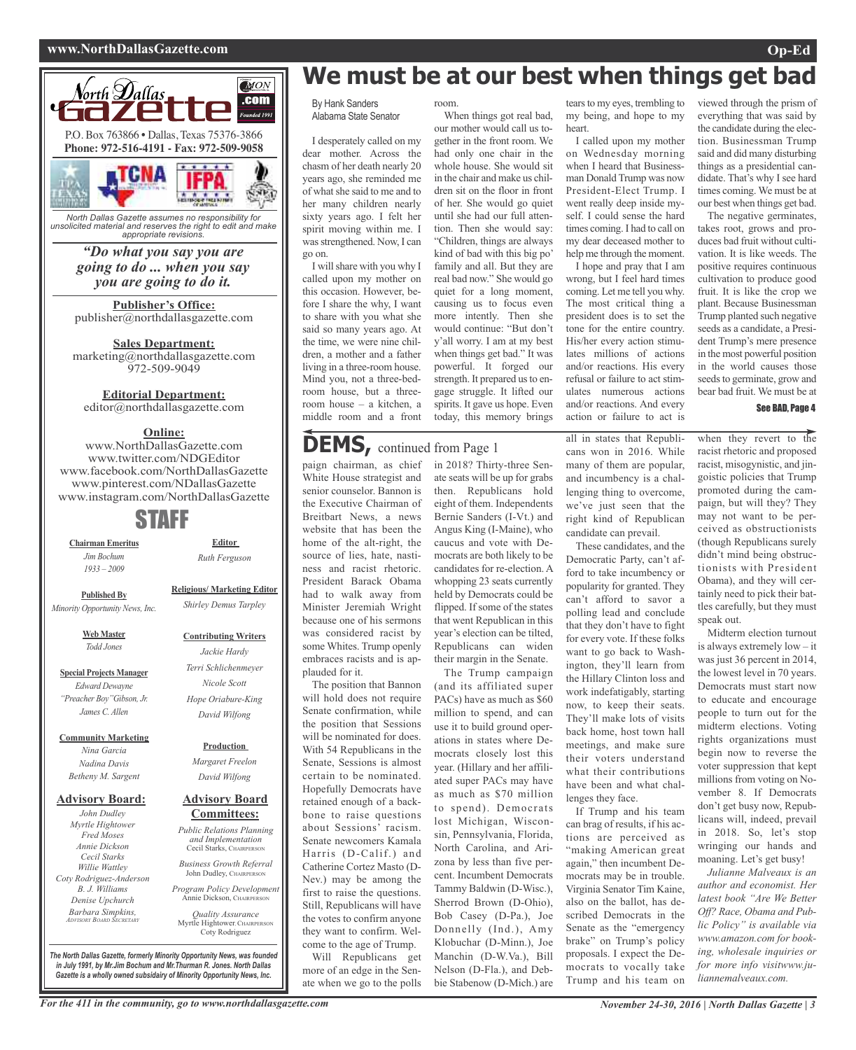#### **www.NorthDallasGazette.com Op-Ed**



*North Dallas Gazette assumes no responsibility for unsolicited material and reserves the right to edit and make appropriate revisions.*

#### *"Do what you say you are going to do ... when you say you are going to do it.*

**Publisher's Office:** publisher@northdallasgazette.com

**Sales Department:** marketing@northdallasgazette.com 972-509-9049

#### **Editorial Department:**

editor@northdallasgazette.com

#### **Online:**

www.NorthDallasGazette.com www.twitter.com/NDGEditor www.facebook.com/NorthDallasGazette www.pinterest.com/NDallasGazette www.instagram.com/NorthDallasGazette

# STAFF

**Chairman Emeritus** *Jim Bochum 1933 – 2009*

> **Religious/ Marketing Editor** *Shirley Demus Tarpley*

> > **Contributing Writers** *Jackie Hardy Terri Schlichenmeyer Nicole Scott Hope Oriabure-King David Wilfong*

**Editor** *Ruth Ferguson*

**Published By** *Minority Opportunity News, Inc.*

> **Web Master** *Todd Jones*

**Special Projects Manager** *Edward Dewayne "Preacher Boy"Gibson, Jr. James C. Allen*

**Community Marketing** *Nina Garcia*

*Nadina Davis Betheny M. Sargent*

#### **Advisory Board:**

*John Dudley Myrtle Hightower Fred Moses Annie Dickson Cecil Starks Willie Wattley Coty Rodriguez-Anderson B. J. Williams Denise Upchurch Barbara Simpkins, ADVISORY BOARD SECRETARY*

**Advisory Board Committees:** *Public Relations Planning and Implementation*

**Production** *Margaret Freelon David Wilfong*

Cecil Starks, CHAIRPERSON *Business Growth Referral* John Dudley, CHAIRPERSON

*Program Policy Development* Annie Dickson, Chairper

*Quality Assurance* Myrtle Hightower, CHAIRPERSON Coty Rodriguez

*The North Dallas Gazette, formerly Minority Opportunity News, was founded in July 1991, by Mr.Jim Bochum and Mr.Thurman R. Jones. North Dallas Gazette is a wholly owned subsidairy of Minority Opportunity News, Inc.*

# **We must be at our best when things get bad**

heart.

tears to my eyes, trembling to my being, and hope to my

I called upon my mother on Wednesday morning when I heard that Businessman Donald Trump was now President-Elect Trump. I went really deep inside myself. I could sense the hard times coming. I had to call on my dear deceased mother to help me through the moment. I hope and pray that I am wrong, but I feel hard times coming. Let me tell you why. The most critical thing a president does is to set the tone for the entire country. His/her every action stimulates millions of actions and/or reactions. His every refusal or failure to act stimulates numerous actions and/or reactions. And every action or failure to act is

By Hank Sanders Alabama State Senator

I desperately called on my dear mother. Across the chasm of her death nearly 20 years ago, she reminded me of what she said to me and to her many children nearly sixty years ago. I felt her spirit moving within me. I was strengthened. Now, I can go on.

I willshare with you why I called upon my mother on this occasion. However, before I share the why, I want to share with you what she said so many years ago. At the time, we were nine children, a mother and a father living in a three-room house. Mind you, not a three-bedroom house, but a threeroom house – a kitchen, a middle room and a front

# **DEMS,** continued from Page <sup>1</sup>

paign chairman, as chief in 2018? Thirty-three Sen-White House strategist and senior counselor. Bannon is the Executive Chairman of Breitbart News, a news website that has been the home of the alt-right, the source of lies, hate, nastiness and racist rhetoric. President Barack Obama had to walk away from Minister Jeremiah Wright because one of his sermons was considered racist by some Whites. Trump openly embraces racists and is applauded for it.

The position that Bannon will hold does not require Senate confirmation, while the position that Sessions will be nominated for does. With 54 Republicans in the Senate, Sessions is almost certain to be nominated. Hopefully Democrats have retained enough of a backbone to raise questions about Sessions' racism. Senate newcomers Kamala Harris (D-Calif.) and Catherine Cortez Masto (D-Nev.) may be among the first to raise the questions. Still, Republicans will have the votes to confirm anyone they want to confirm. Welcome to the age of Trump.

Will Republicans get more of an edge in the Senate when we go to the polls room.

When things got real bad, our mother would call us together in the front room. We had only one chair in the whole house. She would sit in the chair and make us children sit on the floor in front of her. She would go quiet until she had our full attention. Then she would say: "Children, things are always kind of bad with this big po' family and all. But they are real bad now." She would go quiet for a long moment, causing us to focus even more intently. Then she would continue: "But don't y'all worry. I am at my best when things get bad." It was powerful. It forged our strength. It prepared us to engage struggle. It lifted our spirits. It gave us hope. Even today, this memory brings

candidates for re-election. A whopping 23 seats currently held by Democrats could be flipped. If some of the states that went Republican in this year's election can be tilted, Republicans can widen their margin in the Senate. The Trump campaign (and its affiliated super PACs) have as much as \$60 million to spend, and can use it to build ground operations in states where Democrats closely lost this year. (Hillary and her affiliated super PACs may have as much as \$70 million to spend). Democrats lost Michigan, Wisconsin, Pennsylvania, Florida, North Carolina, and Arizona by less than five percent. Incumbent Democrats Tammy Baldwin (D-Wisc.), Sherrod Brown (D-Ohio), Bob Casey (D-Pa.), Joe Donnelly (Ind.), Amy Klobuchar (D-Minn.), Joe Manchin (D-W.Va.), Bill Nelson (D-Fla.), and Debbie Stabenow (D-Mich.) are

ate seats will be up for grabs then. Republicans hold eight of them. Independents Bernie Sanders (I-Vt.) and Angus King (I-Maine), who caucus and vote with Democrats are both likely to be all in states that Republicans won in 2016. While many of them are popular, and incumbency is a challenging thing to overcome, we've just seen that the right kind of Republican candidate can prevail. These candidates, and the

Democratic Party, can't afford to take incumbency or popularity for granted. They can't afford to savor a polling lead and conclude that they don't have to fight for every vote. If these folks want to go back to Washington, they'll learn from the Hillary Clinton loss and work indefatigably, starting now, to keep their seats. They'll make lots of visits back home, host town hall meetings, and make sure their voters understand what their contributions have been and what challenges they face.

If Trump and his team can brag of results, if his actions are perceived as "making American great again," then incumbent Democrats may be in trouble. Virginia Senator Tim Kaine, also on the ballot, has described Democrats in the Senate as the "emergency brake" on Trump's policy proposals. I expect the Democrats to vocally take Trump and his team on

viewed through the prism of everything that was said by the candidate during the election. Businessman Trump said and did many disturbing things as a presidential candidate. That's why I see hard times coming. We must be at our best when things get bad.

The negative germinates, takes root, grows and produces bad fruit without cultivation. It is like weeds. The positive requires continuous cultivation to produce good fruit. It is like the crop we plant. Because Businessman Trump planted such negative seeds as a candidate, a President Trump's mere presence in the most powerful position in the world causes those seeds to germinate, grow and bear bad fruit. We must be at

See BAD, Page 4

when they revert to the racist rhetoric and proposed racist, misogynistic, and jingoistic policies that Trump promoted during the campaign, but will they? They may not want to be perceived as obstructionists (though Republicans surely didn't mind being obstructionists with President Obama), and they will certainly need to pick their battles carefully, but they must speak out.

Midterm election turnout is always extremely low – it was just 36 percent in 2014, the lowest level in 70 years. Democrats must start now to educate and encourage people to turn out for the midterm elections. Voting rights organizations must begin now to reverse the voter suppression that kept millions from voting on November 8. If Democrats don't get busy now, Republicans will, indeed, prevail in 2018. So, let's stop wringing our hands and moaning. Let's get busy!

*Julianne Malveaux is an author and economist. Her latest book "Are We Better Off? Race, Obama and Public Policy" is available via www.amazon.com for booking, wholesale inquiries or for more info visitwww.juliannemalveaux.com.*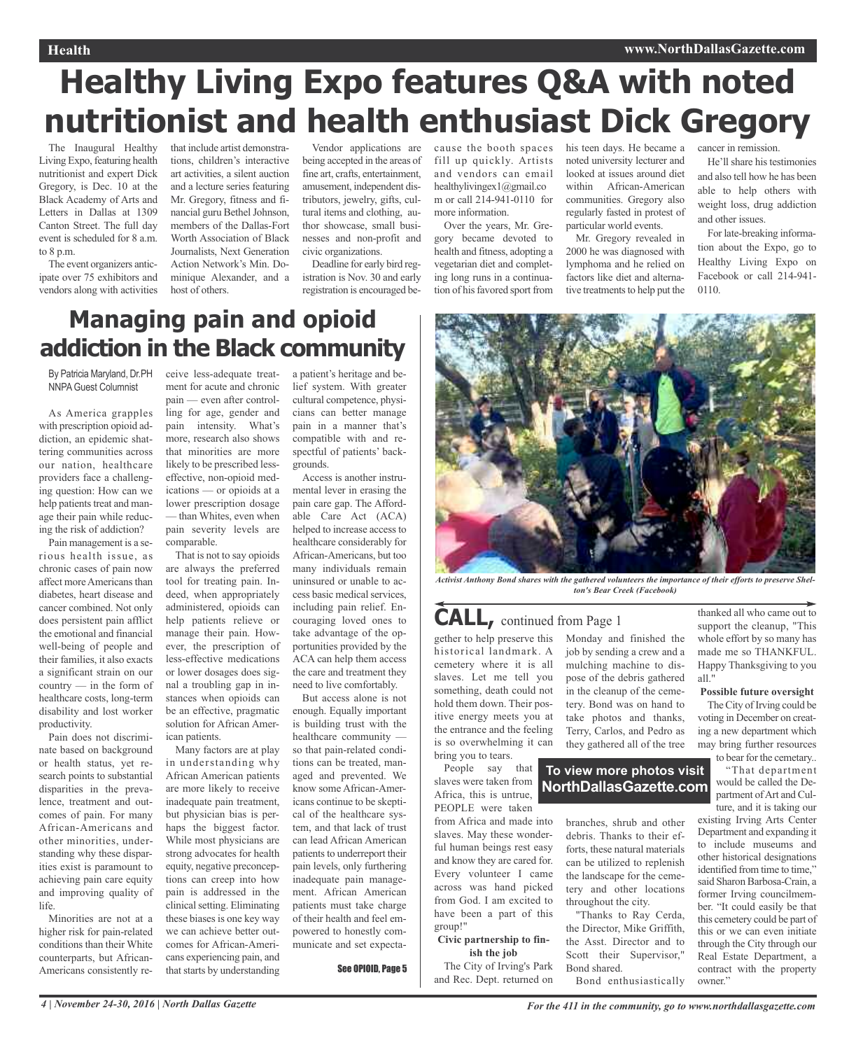#### **Health www.NorthDallasGazette.com**

# **Healthy Living Expo features Q&A with noted nutritionist and health enthusiast Dick Gregory**

The Inaugural Healthy Living Expo, featuring health nutritionist and expert Dick Gregory, is Dec. 10 at the Black Academy of Arts and Letters in Dallas at 1309 Canton Street. The full day event is scheduled for 8 a.m. to 8 p.m.

The event organizers anticipate over 75 exhibitors and vendors along with activities

that include artist demonstrations, children's interactive art activities, a silent auction and a lecture series featuring Mr. Gregory, fitness and financial guru Bethel Johnson, members of the Dallas-Fort Worth Association of Black Journalists, Next Generation Action Network's Min. Dominique Alexander, and a host of others.

Vendor applications are being accepted in the areas of fine art, crafts, entertainment, amusement, independent distributors, jewelry, gifts, cultural items and clothing, author showcase, small businesses and non-profit and civic organizations.

Deadline for early bird registration is Nov. 30 and early registration is encouraged because the booth spaces fill up quickly. Artists and vendors can email healthylivingex1@gmail.co m or call 214-941-0110 for more information.

Over the years, Mr. Gregory became devoted to health and fitness, adopting a vegetarian diet and completing long runs in a continuation of his favored sport from

his teen days. He became a noted university lecturer and looked at issues around diet within African-American communities. Gregory also regularly fasted in protest of particular world events.

Mr. Gregory revealed in 2000 he was diagnosed with lymphoma and he relied on factors like diet and alternative treatments to help put the

cancer in remission.

He'll share his testimonies and also tell how he has been able to help others with weight loss, drug addiction and other issues.

For late-breaking information about the Expo, go to Healthy Living Expo on Facebook or call 214-941- 0110.

# **Managing pain and opioid addiction in the Black community**

By Patricia Maryland, Dr.PH NNPA Guest Columnist

As America grapples with prescription opioid addiction, an epidemic shattering communities across our nation, healthcare providers face a challenging question: How can we help patients treat and manage their pain while reducing the risk of addiction?

Pain management is a serious health issue, as chronic cases of pain now affect more Americans than diabetes, heart disease and cancer combined. Not only does persistent pain afflict the emotional and financial well-being of people and their families, it also exacts a significant strain on our country — in the form of healthcare costs, long-term disability and lost worker productivity.

Pain does not discriminate based on background or health status, yet research points to substantial disparities in the prevalence, treatment and outcomes of pain. For many African-Americans and other minorities, understanding why these disparities exist is paramount to achieving pain care equity and improving quality of life.

Minorities are not at a higher risk for pain-related conditions than their White counterparts, but African-Americans consistently receive less-adequate treatment for acute and chronic pain — even after controlling for age, gender and pain intensity. What's more, research also shows that minorities are more likely to be prescribed lesseffective, non-opioid medications — or opioids at a lower prescription dosage — than Whites, even when pain severity levels are comparable.

That is not to say opioids are always the preferred tool for treating pain. Indeed, when appropriately administered, opioids can help patients relieve or manage their pain. However, the prescription of less-effective medications or lower dosages does signal a troubling gap in instances when opioids can be an effective, pragmatic solution for African American patients.

Many factors are at play in understanding why African American patients are more likely to receive inadequate pain treatment, but physician bias is perhaps the biggest factor. While most physicians are strong advocates for health equity, negative preconceptions can creep into how pain is addressed in the clinical setting. Eliminating these biases is one key way we can achieve better outcomes for African-Americans experiencing pain, and that starts by understanding

a patient's heritage and belief system. With greater cultural competence, physicians can better manage pain in a manner that's compatible with and respectful of patients' backgrounds.

Access is another instrumental lever in erasing the pain care gap. The Affordable Care Act (ACA) helped to increase access to healthcare considerably for African-Americans, but too many individuals remain uninsured or unable to access basic medical services, including pain relief. Encouraging loved ones to take advantage of the opportunities provided by the ACA can help them access the care and treatment they need to live comfortably.

But access alone is not enough. Equally important is building trust with the healthcare community so that pain-related conditions can be treated, managed and prevented. We know some African-Americans continue to be skeptical of the healthcare system, and that lack of trust can lead African American patients to underreport their pain levels, only furthering inadequate pain management. African American patients must take charge of their health and feel empowered to honestly communicate and set expecta-

See OPIOID, Page 5



*Activist Anthony Bond shares with the gathered volunteers the importance of their efforts to preserve Shelton's Bear Creek (Facebook)*

# **CALL,** continued from Page <sup>1</sup>

gether to help preserve this historical landmark. A cemetery where it is all slaves. Let me tell you something, death could not hold them down. Their positive energy meets you at the entrance and the feeling is so overwhelming it can bring you to tears.

People say that slaves were taken from Africa, this is untrue, PEOPLE were taken from Africa and made into slaves. May these wonderful human beings rest easy and know they are cared for. Every volunteer I came across was hand picked from God. I am excited to have been a part of this group!"

#### **Civic partnership to finish the job**

The City of Irving's Park and Rec. Dept. returned on

Monday and finished the job by sending a crew and a mulching machine to dispose of the debris gathered in the cleanup of the cemetery. Bond was on hand to take photos and thanks, Terry, Carlos, and Pedro as they gathered all of the tree

#### **To view more photos visit NorthDallasGazette.com**

branches, shrub and other debris. Thanks to their efforts, these natural materials can be utilized to replenish the landscape for the cemetery and other locations throughout the city.

"Thanks to Ray Cerda, the Director, Mike Griffith, the Asst. Director and to Scott their Supervisor," Bond shared.

Bond enthusiastically

thanked all who came out to support the cleanup, "This whole effort by so many has made me so THANKFUL. Happy Thanksgiving to you all."

#### **Possible future oversight**

The City of Irving could be voting in December on creating a new department which may bring further resources to bear for the cemetary..

"That department would be called the Department of Art and Culture, and it is taking our

existing Irving Arts Center Department and expanding it to include museums and other historical designations identified from time to time." said Sharon Barbosa-Crain, a former Irving councilmember. "It could easily be that this cemetery could be part of this or we can even initiate through the City through our Real Estate Department, a contract with the property owner."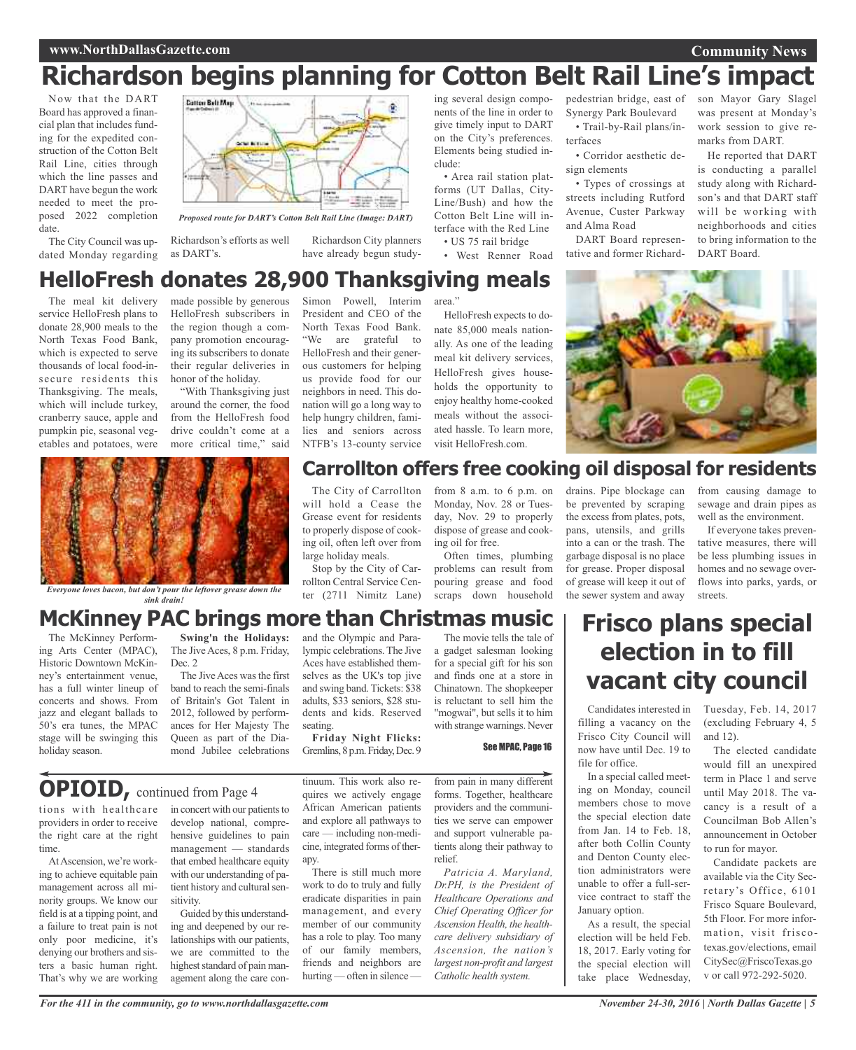# **Richardson begins planning for Cotton Belt Rail Line's impact**

Now that the DART Board has approved a financial plan that includes funding for the expedited construction of the Cotton Belt Rail Line, cities through which the line passes and DART have begun the work needed to meet the proposed 2022 completion date.

The City Council was updated Monday regarding



*Proposed route for DART's Cotton Belt Rail Line (Image: DART)*

Richardson's efforts as well as DART's.

ing several design components of the line in order to give timely input to DART on the City's preferences. Elements being studied include:

• Area rail station platforms (UT Dallas, City-Line/Bush) and how the Cotton Belt Line will interface with the Red Line • US 75 rail bridge

• West Renner Road

pedestrian bridge, east of Synergy Park Boulevard • Trail-by-Rail plans/in-

terfaces • Corridor aesthetic design elements

• Types of crossings at streets including Rutford Avenue, Custer Parkway and Alma Road

DART Board representative and former Richardson Mayor Gary Slagel was present at Monday's work session to give remarks from DART.

**Community News**

He reported that DART is conducting a parallel study along with Richardson's and that DART staff will be working with neighborhoods and cities to bring information to the DART Board.

#### **HelloFresh donates 28,900 Thanksgiving meals** area."

The meal kit delivery service HelloFresh plans to donate 28,900 meals to the North Texas Food Bank, which is expected to serve thousands of local food-insecure residents this Thanksgiving. The meals, which will include turkey, cranberry sauce, apple and pumpkin pie, seasonal vegetables and potatoes, were

made possible by generous HelloFresh subscribers in the region though a company promotion encouraging its subscribers to donate their regular deliveries in honor of the holiday.

"With Thanksgiving just around the corner, the food from the HelloFresh food drive couldn't come at a more critical time," said

Simon Powell, Interim President and CEO of the North Texas Food Bank. "We are grateful to HelloFresh and their generous customers for helping us provide food for our neighbors in need. This donation will go a long way to help hungry children, families and seniors across NTFB's 13-county service

Richardson City planners have already begun study-

> HelloFresh expects to donate 85,000 meals nationally. As one of the leading meal kit delivery services, HelloFresh gives households the opportunity to enjoy healthy home-cooked meals without the associated hassle. To learn more, visit HelloFresh.com.



Everyone loves bacon, but don't pour the leftover grease down the<br>ter (2711 Nimitz Lane) scraps down household the sewer system and away streets. *sink drain!*

# **McKinney PAC brings more than Christmas music**

The McKinney Performing Arts Center (MPAC), Historic Downtown McKinney's entertainment venue, has a full winter lineup of concerts and shows. From jazz and elegant ballads to 50's era tunes, the MPAC stage will be swinging this holiday season.

**Swing'n the Holidays:** The Jive Aces, 8 p.m. Friday, Dec. 2

The Jive Aces was the first band to reach the semi-finals of Britain's Got Talent in 2012, followed by performances for Her Majesty The Queen as part of the Diamond Jubilee celebrations

and the Olympic and Paralympic celebrations.The Jive Aces have established themselves as the UK's top jive and swing band. Tickets: \$38 adults, \$33 seniors, \$28 students and kids. Reserved seating.

rollton Central Service Center (2711 Nimitz Lane)

**Friday Night Flicks:** Gremlins, 8 p.m. Friday, Dec. 9

The movie tells the tale of a gadget salesman looking for a special gift for his son and finds one at a store in Chinatown. The shopkeeper is reluctant to sell him the "mogwai", but sells it to him with strange warnings. Never

See MPAC, Page 16

# **OPIOID,** continued from Page <sup>4</sup>

tions with healthcare providers in order to receive the right care at the right time.

AtAscension, we're working to achieve equitable pain management across all minority groups. We know our field is at a tipping point, and a failure to treat pain is not only poor medicine, it's denying our brothers and sisters a basic human right. That's why we are working

in concert with our patients to develop national, comprehensive guidelines to pain management — standards that embed healthcare equity with our understanding of patient history and cultural sensitivity.

Guided by this understanding and deepened by our relationships with our patients, we are committed to the highest standard of pain management along the care continuum. This work also requires we actively engage African American patients and explore all pathways to care — including non-medicine, integrated forms of therapy.

There is still much more work to do to truly and fully eradicate disparities in pain management, and every member of our community has a role to play. Too many of our family members, friends and neighbors are hurting — often in silence —

from pain in many different forms. Together, healthcare providers and the communities we serve can empower and support vulnerable patients along their pathway to relief.

*Patricia A. Maryland, Dr.PH, is the President of Healthcare Operations and Chief Operating Officer for Ascension Health, the healthcare delivery subsidiary of Ascension, the nation's largest non-profit and largest Catholic health system.*

drains. Pipe blockage can be prevented by scraping the excess from plates, pots, pans, utensils, and grills into a can or the trash. The garbage disposal is no place for grease. Proper disposal of grease will keep it out of the sewer system and away

from causing damage to sewage and drain pipes as well as the environment.

If everyone takes preventative measures, there will be less plumbing issues in homes and no sewage overflows into parks, yards, or

# **Frisco plans special election in to fill vacant city council**

Candidates interested in filling a vacancy on the Frisco City Council will now have until Dec. 19 to file for office.

In a special called meeting on Monday, council members chose to move the special election date from Jan. 14 to Feb. 18, after both Collin County and Denton County election administrators were unable to offer a full-service contract to staff the January option.

As a result, the special election will be held Feb. 18, 2017. Early voting for the special election will take place Wednesday,

Tuesday, Feb. 14, 2017 (excluding February 4, 5 and 12).

The elected candidate would fill an unexpired term in Place 1 and serve until May 2018. The vacancy is a result of a Councilman Bob Allen's announcement in October to run for mayor.

Candidate packets are available via the City Secretary's Office, 6101 Frisco Square Boulevard, 5th Floor. For more information, visit friscotexas.gov/elections, email CitySec@FriscoTexas.go v or call 972-292-5020.

The City of Carrollton will hold a Cease the Grease event for residents to properly dispose of cooking oil, often left over from large holiday meals. Stop by the City of Carfrom 8 a.m. to 6 p.m. on Monday, Nov. 28 or Tuesday, Nov. 29 to properly dispose of grease and cooking oil for free. Often times, plumbing

problems can result from pouring grease and food scraps down household

**Carrollton offers free cooking oil disposal for residents**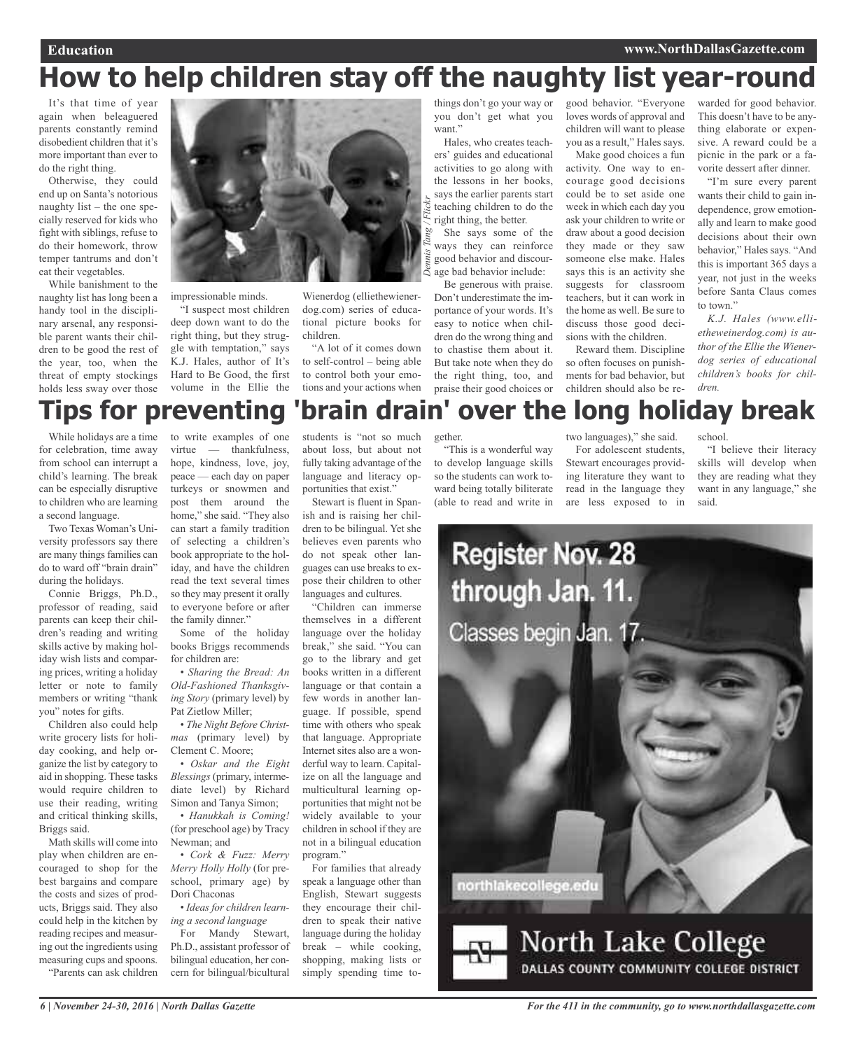# **How to help children stay off the naughty list year-round**

It's that time of year again when beleaguered parents constantly remind disobedient children that it's more important than ever to do the right thing.

Otherwise, they could end up on Santa's notorious naughty list – the one specially reserved for kids who fight with siblings, refuse to do their homework, throw temper tantrums and don't eat their vegetables.

While banishment to the naughty list has long been a handy tool in the disciplinary arsenal, any responsible parent wants their children to be good the rest of the year, too, when the threat of empty stockings holds less sway over those



impressionable minds.

"I suspect most children deep down want to do the right thing, but they struggle with temptation," says K.J. Hales, author of It's Hard to Be Good, the first volume in the Ellie the

Wienerdog (elliethewienerdog.com) series of educational picture books for children.

"A lot of it comes down to self-control – being able to control both your emotions and your actions when things don't go your way or you don't get what you want."

Hales, who creates teachers' guides and educational activities to go along with the lessons in her books, says the earlier parents start teaching children to do the right thing, the better.

She says some of the ways they can reinforce good behavior and discourage bad behavior include: *Dennis Tang / Flickr*

Be generous with praise. Don't underestimate the importance of your words. It's easy to notice when children do the wrong thing and to chastise them about it. But take note when they do the right thing, too, and praise their good choices or

good behavior. "Everyone loves words of approval and children will want to please you as a result," Hales says. Make good choices a fun activity. One way to encourage good decisions could be to set aside one week in which each day you ask your children to write or draw about a good decision they made or they saw someone else make. Hales says this is an activity she suggests for classroom teachers, but it can work in the home as well. Be sure to discuss those good deci-

sions with the children. Reward them. Discipline so often focuses on punishments for bad behavior, but children should also be rewarded for good behavior. This doesn't have to be anything elaborate or expensive. A reward could be a picnic in the park or a favorite dessert after dinner.

"I'm sure every parent wants their child to gain independence, grow emotionally and learn to make good decisions about their own behavior," Hales says. "And this is important 365 days a year, not just in the weeks before Santa Claus comes to town."

*K.J. Hales (www.ellietheweinerdog.com) is author of the Ellie the Wienerdog series of educational children's books for children.*

# **Tips for preventing 'brain drain' over the long holiday break**

While holidays are a time for celebration, time away from school can interrupt a child's learning. The break can be especially disruptive to children who are learning a second language.

Two Texas Woman's University professors say there are many things families can do to ward off "brain drain" during the holidays.

Connie Briggs, Ph.D., professor of reading, said parents can keep their children's reading and writing skills active by making holiday wish lists and comparing prices, writing a holiday letter or note to family members or writing "thank you" notes for gifts.

Children also could help write grocery lists for holiday cooking, and help organize the list by category to aid in shopping. These tasks would require children to use their reading, writing and critical thinking skills, Briggs said.

Math skills will come into play when children are encouraged to shop for the best bargains and compare the costs and sizes of products, Briggs said. They also could help in the kitchen by reading recipes and measuring out the ingredients using measuring cups and spoons. "Parents can ask children

to write examples of one virtue — thankfulness, hope, kindness, love, joy, peace — each day on paper turkeys or snowmen and post them around the home," she said. "They also can start a family tradition of selecting a children's book appropriate to the holiday, and have the children read the text several times so they may present it orally to everyone before or after

the family dinner." Some of the holiday books Briggs recommends for children are:

• *Sharing the Bread: An Old-Fashioned Thanksgiving Story* (primary level) by Pat Zietlow Miller;

• *The Night Before Christmas* (primary level) by Clement C. Moore;

• *Oskar and the Eight Blessings* (primary, intermediate level) by Richard Simon and Tanya Simon;

• *Hanukkah is Coming!* (for preschool age) by Tracy Newman; and

• *Cork & Fuzz: Merry Merry Holly Holly* (for preschool, primary age) by Dori Chaconas

• *Ideas for children learning a second language*

For Mandy Stewart, Ph.D., assistant professor of bilingual education, her concern for bilingual/bicultural

students is "not so much about loss, but about not fully taking advantage of the language and literacy opportunities that exist."

Stewart is fluent in Spanish and is raising her children to be bilingual. Yet she believes even parents who do not speak other languages can use breaks to expose their children to other languages and cultures.

"Children can immerse themselves in a different language over the holiday break," she said. "You can go to the library and get books written in a different language or that contain a few words in another language. If possible, spend time with others who speak that language. Appropriate Internet sites also are a wonderful way to learn. Capitalize on all the language and multicultural learning opportunities that might not be widely available to your children in school if they are not in a bilingual education program."

For families that already speak a language other than English, Stewart suggests they encourage their children to speak their native language during the holiday break – while cooking, shopping, making lists or simply spending time together.

"This is a wonderful way to develop language skills so the students can work toward being totally biliterate (able to read and write in two languages)," she said.

For adolescent students, Stewart encourages providing literature they want to read in the language they are less exposed to in school.

"I believe their literacy skills will develop when they are reading what they want in any language," she said.

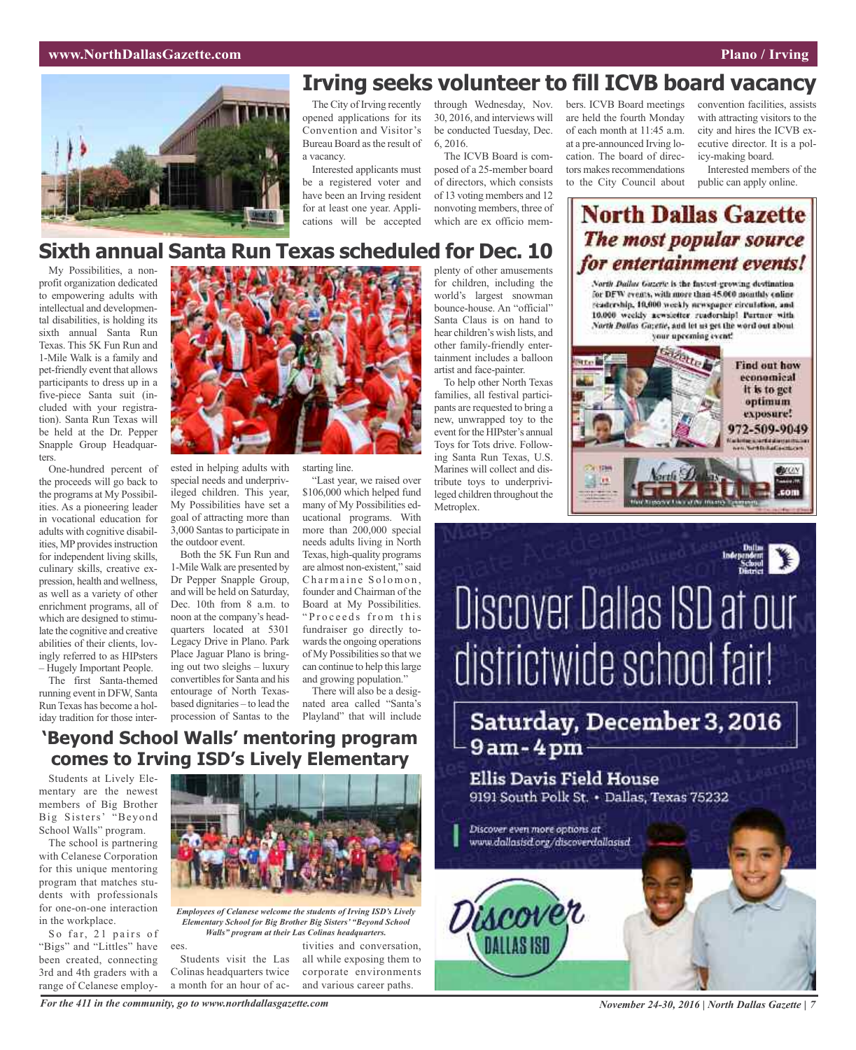#### **www.NorthDallasGazette.com Plano** / **Irving**

My Possibilities, a nonprofit organization dedicated to empowering adults with intellectual and developmental disabilities, is holding its sixth annual Santa Run Texas. This 5K Fun Run and 1-Mile Walk is a family and pet-friendly event that allows participants to dress up in a five-piece Santa suit (included with your registration). Santa Run Texas will be held at the Dr. Pepper Snapple Group Headquar-

One-hundred percent of the proceeds will go back to the programs at My Possibilities. As a pioneering leader in vocational education for adults with cognitive disabilities, MP provides instruction for independent living skills, culinary skills, creative expression, health and wellness, as well as a variety of other enrichment programs, all of which are designed to stimulate the cognitive and creative abilities of their clients, lovingly referred to as HIPsters – Hugely Important People. The first Santa-themed running event in DFW, Santa Run Texas has become a holiday tradition for those inter-

ters.



# **Irving seeks volunteer to fill ICVB board vacancy**

The City of Irving recently opened applications for its Convention and Visitor's Bureau Board as the result of a vacancy.

Interested applicants must be a registered voter and have been an Irving resident for at least one year. Applications will be accepted

through Wednesday, Nov. 30, 2016, and interviews will be conducted Tuesday, Dec. 6, 2016. The ICVB Board is com-

posed of a 25-member board of directors, which consists of 13 voting members and 12 nonvoting members, three of which are ex officio mem-

plenty of other amusements

families, all festival participants are requested to bring a new, unwrapped toy to the event for the HIPster's annual Toys for Tots drive. Followbers. ICVB Board meetings are held the fourth Monday of each month at 11:45 a.m. at a pre-announced Irving location. The board of directors makes recommendations to the City Council about

convention facilities, assists with attracting visitors to the city and hires the ICVB executive director. It is a policy-making board.

Interested members of the public can apply online.

## **North Dallas Gazette** The most popular source for entertainment events!

North Dailus Gazetic is the fastest-growing destination for DFW events, with more than 45.000 monthly coline readership, 10,000 weekly newspaper circulation, and 10.000 weekly acwaietter ruadorship! Partner with North Dallas Gazette, and let us get the word out about



# Discover Dallas ISD at our districtwide school fair!

Saturday, December 3, 2016  $9am-4pm-$ 

**Ellis Davis Field House** 9191 South Polk St. . Dallas, Texas 75232





ested in helping adults with special needs and underprivileged children. This year, My Possibilities have set a goal of attracting more than 3,000 Santas to participate in the outdoor event.

1-MileWalk are presented by Dr Pepper Snapple Group, and will be held on Saturday, Dec. 10th from 8 a.m. to noon at the company's headquarters located at 5301 Legacy Drive in Plano. Park Place Jaguar Plano is bringing out two sleighs – luxury convertibles for Santa and his entourage of North Texasbased dignitaries – to lead the starting line.

\$106,000 which helped fund many of My Possibilities educational programs. With more than 200,000 special needs adults living in North Texas, high-quality programs are almost non-existent," said Charmaine Solomon, founder and Chairman of the Board at My Possibilities. "Proceeds from this fundraiser go directly towards the ongoing operations of My Possibilities so that we can continue to help this large and growing population."

**'Beyond School Walls' mentoring program comes to Irving ISD's Lively Elementary**

Students at Lively Elementary are the newest members of Big Brother Big Sisters' "Beyond School Walls" program.

The school is partnering with Celanese Corporation for this unique mentoring program that matches students with professionals for one-on-one interaction in the workplace.

So far, 21 pairs of "Bigs" and "Littles" have been created, connecting 3rd and 4th graders with a range of Celanese employ-



*Employees of Celanese welcome the students of Irving ISD's Lively Elementary School for Big Brother Big Sisters' "Beyond School Walls" program at their Las Colinas headquarters.*

ees. Students visit the Las Colinas headquarters twice a month for an hour of ac-

tivities and conversation, all while exposing them to corporate environments and various career paths.

Discover even more options at www.dallasisd.org/discoverdallasisd DALLAS ISD

For the 411 in the community, go to www.northdallasgazette.com November 24-30, 2016 | North Dallas Gazette | 7

other family-friendly entertainment includes a balloon artist and face-painter.

Both the 5K Fun Run and

"Last year, we raised over ing Santa Run Texas, U.S. Marines will collect and distribute toys to underprivileged children throughout the Metroplex.

procession of Santas to the Playland" that will include There will also be a designated area called "Santa's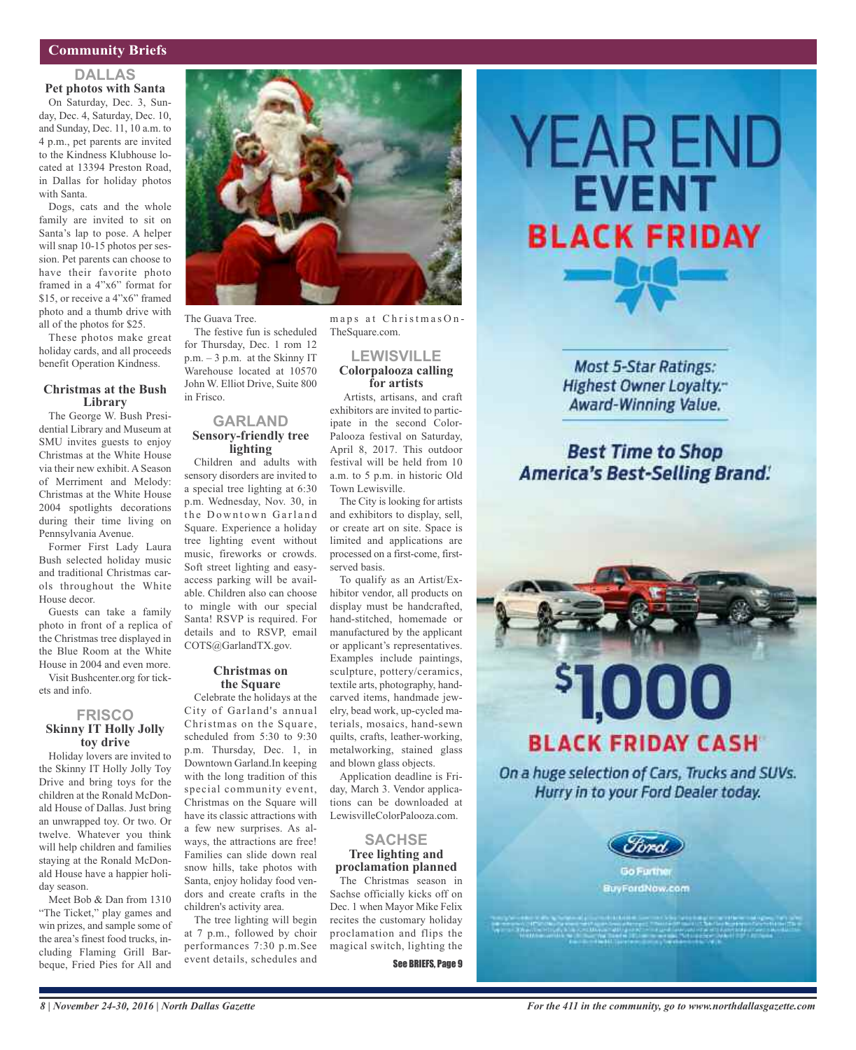#### **Community Briefs**

#### **DALLAS Pet photos with Santa**

On Saturday, Dec. 3, Sunday, Dec. 4, Saturday, Dec. 10, and Sunday, Dec. 11, 10 a.m. to 4 p.m., pet parents are invited to the Kindness Klubhouse located at 13394 Preston Road, in Dallas for holiday photos with Santa.

Dogs, cats and the whole family are invited to sit on Santa's lap to pose. A helper will snap 10-15 photos per session. Pet parents can choose to have their favorite photo framed in a 4"x6" format for \$15, or receive a 4"x6" framed photo and a thumb drive with all of the photos for \$25.

These photos make great holiday cards, and all proceeds benefit Operation Kindness.

#### **Christmas at the Bush Library**

The George W. Bush Presidential Library and Museum at SMU invites guests to enjoy Christmas at the White House via their new exhibit. A Season of Merriment and Melody: Christmas at the White House 2004 spotlights decorations during their time living on Pennsylvania Avenue.

Former First Lady Laura Bush selected holiday music and traditional Christmas carols throughout the White House decor.

Guests can take a family photo in front of a replica of the Christmas tree displayed in the Blue Room at the White House in 2004 and even more.

Visit Bushcenter.org for tickets and info.

#### **FRISCO Skinny IT Holly Jolly toy drive**

Holiday lovers are invited to the Skinny IT Holly Jolly Toy Drive and bring toys for the children at the Ronald McDonald House of Dallas. Just bring an unwrapped toy. Or two. Or twelve. Whatever you think will help children and families staying at the Ronald McDonald House have a happier holiday season.

Meet Bob & Dan from 1310 "The Ticket," play games and win prizes, and sample some of the area's finest food trucks, including Flaming Grill Barbeque, Fried Pies for All and



The Guava Tree.

The festive fun is scheduled for Thursday, Dec. 1 rom 12 p.m. – 3 p.m. at the Skinny IT Warehouse located at 10570 John W. Elliot Drive, Suite 800 in Frisco.

#### **GARLAND Sensory-friendly tree lighting**

Children and adults with sensory disorders are invited to a special tree lighting at 6:30 p.m. Wednesday, Nov. 30, in the Downtown Garland Square. Experience a holiday tree lighting event without music, fireworks or crowds. Soft street lighting and easyaccess parking will be available. Children also can choose to mingle with our special Santa! RSVP is required. For details and to RSVP, email COTS@GarlandTX.gov.

#### **Christmas on the Square**

Celebrate the holidays at the City of Garland's annual Christmas on the Square, scheduled from 5:30 to 9:30 p.m. Thursday, Dec. 1, in Downtown Garland.In keeping with the long tradition of this special community event, Christmas on the Square will have its classic attractions with a few new surprises. As always, the attractions are free! Families can slide down real snow hills, take photos with Santa, enjoy holiday food vendors and create crafts in the children's activity area.

The tree lighting will begin at 7 p.m., followed by choir performances 7:30 p.m.See event details, schedules and

maps at ChristmasOn-TheSquare.com.

#### **LEWISVILLE Colorpalooza calling for artists**

Artists, artisans, and craft exhibitors are invited to participate in the second Color-Palooza festival on Saturday, April 8, 2017. This outdoor festival will be held from 10 a.m. to 5 p.m. in historic Old Town Lewisville.

The City is looking for artists and exhibitors to display, sell, or create art on site. Space is limited and applications are processed on a first-come, firstserved basis.

To qualify as an Artist/Exhibitor vendor, all products on display must be handcrafted, hand-stitched, homemade or manufactured by the applicant or applicant's representatives. Examples include paintings, sculpture, pottery/ceramics, textile arts, photography, handcarved items, handmade jewelry, bead work, up-cycled materials, mosaics, hand-sewn quilts, crafts, leather-working, metalworking, stained glass and blown glass objects.

Application deadline is Friday, March 3. Vendor applications can be downloaded at LewisvilleColorPalooza.com.

#### **SACHSE Tree lighting and proclamation planned**

The Christmas season in Sachse officially kicks off on Dec. 1 when Mayor Mike Felix recites the customary holiday proclamation and flips the magical switch, lighting the

See BRIEFS, Page 9

# **YEAR END EVENT BLACK FRIDAY**

**Most 5-Star Ratings:** Highest Owner Loyalty.-Award-Winning Value.

## **Best Time to Shop America's Best-Selling Brand.**

# **BLACK FRIDAY CASH**

On a huge selection of Cars, Trucks and SUVs. Hurry in to your Ford Dealer today.



BuyFordNow.com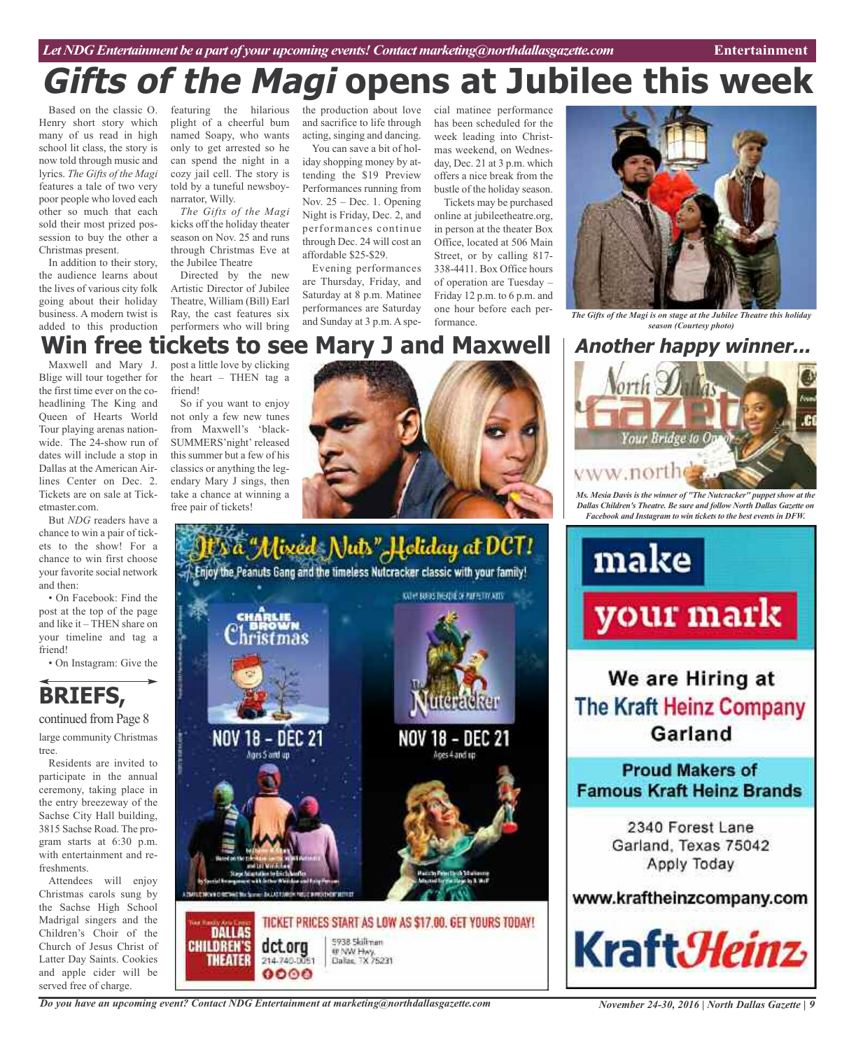#### Let *NDG Entertainment be a part of your upcoming events! Contact marketing@northdallasgazette.com* **Entertainment**

# **Gifts of the Magi opens at Jubilee this week**

Based on the classic O. Henry short story which many of us read in high school lit class, the story is now told through music and lyrics. *The Gifts of the Magi* features a tale of two very poor people who loved each other so much that each sold their most prized possession to buy the other a Christmas present.

In addition to their story, the audience learns about the lives of various city folk going about their holiday business. A modern twist is added to this production

featuring the hilarious plight of a cheerful bum named Soapy, who wants only to get arrested so he can spend the night in a cozy jail cell. The story is told by a tuneful newsboynarrator, Willy.

*The Gifts of the Magi* kicks off the holiday theater season on Nov. 25 and runs through Christmas Eve at the Jubilee Theatre

Directed by the new Artistic Director of Jubilee Theatre, William (Bill) Earl Ray, the cast features six performers who will bring

the production about love and sacrifice to life through acting, singing and dancing.

You can save a bit of holiday shopping money by attending the \$19 Preview Performances running from Nov. 25 – Dec. 1. Opening Night is Friday, Dec. 2, and performances continue through Dec. 24 will cost an affordable \$25-\$29.

Evening performances are Thursday, Friday, and Saturday at 8 p.m. Matinee performances are Saturday and Sunday at 3 p.m. A special matinee performance has been scheduled for the week leading into Christmas weekend, on Wednesday, Dec. 21 at 3 p.m. which offers a nice break from the bustle of the holiday season.

Tickets may be purchased online at jubileetheatre.org, in person at the theater Box Office, located at 506 Main Street, or by calling 817- 338-4411. Box Office hours of operation are Tuesday – Friday 12 p.m. to 6 p.m. and one hour before each per-



formance. *The Gifts of the Magi is on stage at the Jubilee Theatre this holiday season (Courtesy photo)*

# **Win free tickets to see Mary J and Maxwell**

Maxwell and Mary J. Blige will tour together for the first time ever on the coheadlining The King and Queen of Hearts World Tour playing arenas nationwide. The 24-show run of dates will include a stop in Dallas at the American Airlines Center on Dec. 2. Tickets are on sale at Ticketmaster.com.

But *NDG* readers have a chance to win a pair of tickets to the show! For a chance to win first choose your favorite social network and then:

• On Facebook: Find the post at the top of the page and like it – THEN share on your timeline and tag a friend!

• On Instagram: Give the



large community Christmas tree. continued from Page 8

Residents are invited to participate in the annual ceremony, taking place in the entry breezeway of the Sachse City Hall building, 3815 Sachse Road. The program starts at 6:30 p.m. with entertainment and refreshments.

Attendees will enjoy Christmas carols sung by the Sachse High School Madrigal singers and the Children's Choir of the Church of Jesus Christ of Latter Day Saints. Cookies and apple cider will be served free of charge.

post a little love by clicking the heart – THEN tag a friend! So if you want to enjoy

not only a few new tunes from Maxwell's 'black-SUMMERS'night' released this summer but a few of his classics or anything the legendary Mary J sings, then take a chance at winning a free pair of tickets!







*Ms. Mesia Davis is the winner of "The Nutcracker" puppet show at the Dallas Children's Theatre. Be sure and follow North Dallas Gazette on Facebook and Instagram to win tickets to the best events in DFW.*



We are Hiring at The Kraft Heinz Company Garland

**Proud Makers of Famous Kraft Heinz Brands** 

> 2340 Forest Lane Garland, Texas 75042 Apply Today

#### www.kraftheinzcompany.com



*Do you have an upcoming event? Contact NDG Entertainment at marketing@northdallasgazette.com*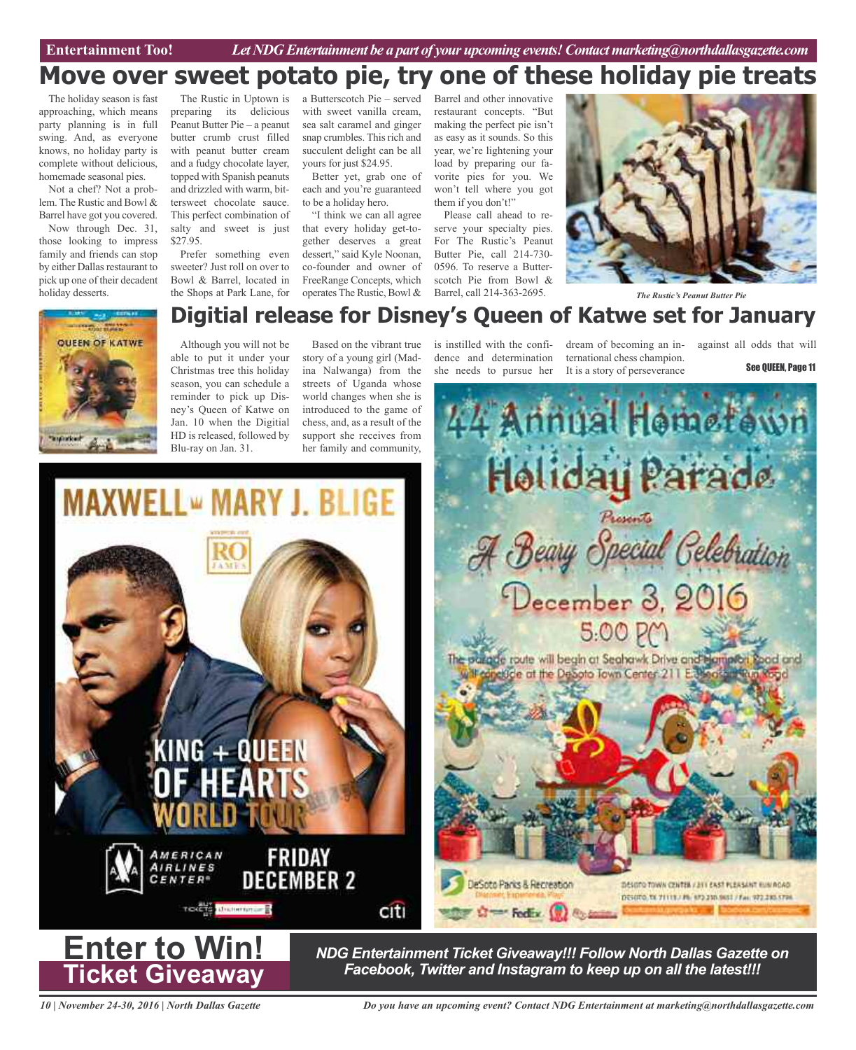**Car Review Entertainment Too!** *Let NDG Entertainment be a part of your upcoming events!Contactmarketing@northdallasgazette.com*

# **Move over sweet potato pie, try one of these holiday pie treats**

The holiday season is fast approaching, which means party planning is in full swing. And, as everyone knows, no holiday party is complete without delicious, homemade seasonal pies.

Not a chef? Not a problem. The Rustic and Bowl & Barrel have got you covered.

Now through Dec. 31, those looking to impress family and friends can stop by either Dallas restaurant to pick up one of their decadent holiday desserts.

The Rustic in Uptown is preparing its delicious Peanut Butter Pie – a peanut butter crumb crust filled with peanut butter cream and a fudgy chocolate layer, topped with Spanish peanuts and drizzled with warm, bittersweet chocolate sauce. This perfect combination of salty and sweet is just that every holiday get-to-\$27.95.

Prefer something even sweeter? Just roll on over to Bowl & Barrel, located in the Shops at Park Lane, for

a Butterscotch Pie – served with sweet vanilla cream, sea salt caramel and ginger snap crumbles. Thisrich and succulent delight can be all yours for just \$24.95.

Better yet, grab one of each and you're guaranteed to be a holiday hero.

"I think we can all agree gether deserves a great dessert," said Kyle Noonan, co-founder and owner of FreeRange Concepts, which operates The Rustic, Bowl &

Barrel and other innovative restaurant concepts. "But making the perfect pie isn't as easy as it sounds. So this year, we're lightening your load by preparing our favorite pies for you. We won't tell where you got them if you don't!"

Please call ahead to reserve your specialty pies. For The Rustic's Peanut Butter Pie, call 214-730- 0596. To reserve a Butterscotch Pie from Bowl & Barrel, call 214-363-2695.



*The Rustic's Peanut Butter Pie*

# **QUEEN OF KATWE**

Although you will not be able to put it under your Christmas tree this holiday season, you can schedule a reminder to pick up Disney's Queen of Katwe on Jan. 10 when the Digitial HD is released, followed by Blu-ray on Jan. 31. **Digitial release for Disney's Queen of Katwe set for January**

**MAXWELL**<sup>w</sup> MARY J. BLIGE

KING + QUEEN

**TORON UNIVERSITY** 

FRIDAY

**DECEMBER 2** 

citi

Based on the vibrant true story of a young girl (Madina Nalwanga) from the streets of Uganda whose world changes when she is introduced to the game of chess, and, as a result of the support she receives from her family and community,

is instilled with the confidence and determination she needs to pursue her

dream of becoming an international chess champion. It is a story of perseverance

against all odds that will See QUEEN, Page 11





AMERICAN AIRLINES

**CENTER**<sup>®</sup>

*NDG Entertainment Ticket Giveaway!!! Follow North Dallas Gazette on Facebook, Twitter and Instagram to keep up on all the latest!!!*

*10 | November 24-30, 2016 | North Dallas Gazette*

*Do you have an upcoming event? Contact NDG Entertainment at marketing@northdallasgazette.com*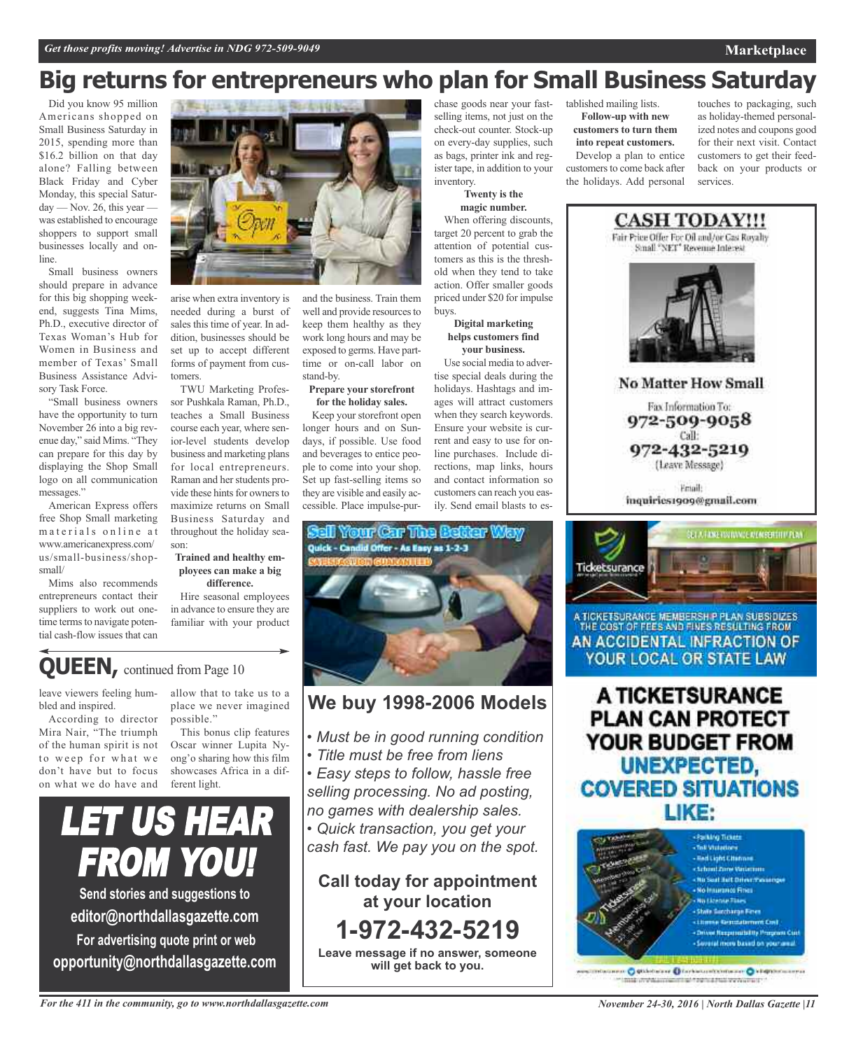# **Big returns for entrepreneurs who plan for Small Business Saturday**

inventory.

buys.

chase goods near your fastselling items, not just on the check-out counter. Stock-up on every-day supplies, such as bags, printer ink and register tape, in addition to your

**Twenty is the magic number.** When offering discounts, target 20 percent to grab the attention of potential customers as this is the threshold when they tend to take action. Offer smaller goods priced under \$20 for impulse

**Digital marketing helps customers find your business.** Use social media to advertise special deals during the holidays. Hashtags and images will attract customers when they search keywords. Ensure your website is current and easy to use for online purchases. Include directions, map links, hours and contact information so customers can reach you easily. Send email blasts to es-

Did you know 95 million Americans shopped on Small Business Saturday in 2015, spending more than \$16.2 billion on that day alone? Falling between Black Friday and Cyber Monday, this special Satur $day - Nov. 26$ , this year  $$ was established to encourage shoppers to support small businesses locally and online.

Small business owners should prepare in advance for this big shopping weekend, suggests Tina Mims, Ph.D., executive director of Texas Woman's Hub for Women in Business and member of Texas' Small Business Assistance Advisory Task Force.

"Small business owners have the opportunity to turn November 26 into a big revenue day," said Mims. "They can prepare for this day by displaying the Shop Small logo on all communication messages."

American Express offers free Shop Small marketing materials online at www.americanexpress.com/ us/small-business/shopsmall/

Mims also recommends entrepreneurs contact their suppliers to work out onetime terms to navigate potential cash-flow issues that can



arise when extra inventory is needed during a burst of sales this time of year. In addition, businesses should be set up to accept different forms of payment from customers.

TWU Marketing Professor Pushkala Raman, Ph.D., teaches a Small Business course each year, where senior-level students develop business and marketing plans for local entrepreneurs. Raman and her students provide these hints for owners to maximize returns on Small Business Saturday and throughout the holiday season:

#### **Trained and healthy employees can make a big difference.**

Hire seasonal employees in advance to ensure they are familiar with your product and the business. Train them well and provide resources to keep them healthy as they work long hours and may be exposed to germs. Have parttime or on-call labor on stand-by.

#### **Prepare your storefront for the holiday sales.**

Keep your storefront open longer hours and on Sundays, if possible. Use food and beverages to entice people to come into your shop. Set up fast-selling items so they are visible and easily accessible. Place impulse-pur-



## **We buy 1998-2006 Models**

- *• Must be in good running condition*
- *• Title must be free from liens*
- *• Easy steps to follow, hassle free selling processing. No ad posting, no games with dealership sales.*
- *• Quick transaction, you get your cash fast. We pay you on the spot.*

**Call today for appointment at your location 1-972-432-5219 Leave message if no answer, someone**

**will get back to you.**

tablished mailing lists. **Follow-up with new**

**customers to turn them into repeat customers.** Develop a plan to entice customers to come back after the holidays. Add personal

touches to packaging, such as holiday-themed personalized notes and coupons good for their next visit. Contact customers to get their feedback on your products or services.

**Marketplace**



THE COST OF FEES AND FINES RESULTING FROM AN ACCIDENTAL INFRACTION OF YOUR LOCAL OR STATE LAW

A TICKETSURANCE **PLAN CAN PROTECT** YOUR BUDGET FROM UNEXPECTED, **COVERED SITUATIONS** LIKE:



miscanno O gittebalane Dinebaltominenen O kilopomiaarraa make produce committed it replications we want to the

# **QUEEN,** continued from Page <sup>10</sup>

leave viewers feeling humbled and inspired.

According to director Mira Nair, "The triumph of the human spirit is not to weep for what we don't have but to focus on what we do have and possible." This bonus clip features Oscar winner Lupita Nyong'o sharing how this film showcases Africa in a dif-

allow that to take us to a place we never imagined



ferent light.

**Send stories and suggestions to editor@northdallasgazette.com**

**For advertising quote print or web opportunity@northdallasgazette.com**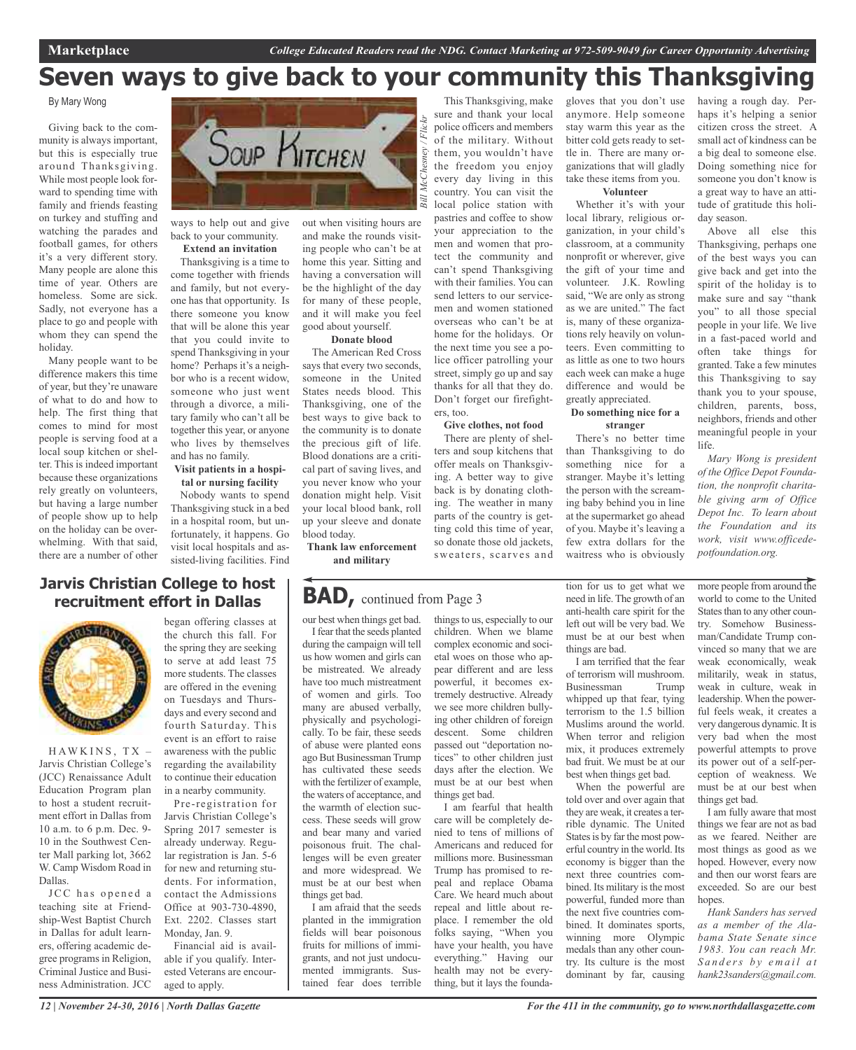This Thanksgiving, make sure and thank your local police officers and members of the military. Without them, you wouldn't have the freedom you enjoy every day living in this country. You can visit the local police station with pastries and coffee to show your appreciation to the men and women that protect the community and can't spend Thanksgiving with their families. You can send letters to our servicemen and women stationed overseas who can't be at home for the holidays. Or the next time you see a police officer patrolling your street, simply go up and say thanks for all that they do. Don't forget our firefight-

# **Seven ways to give back to your community this Thanksgiving**

*Bill McChesney / Flickr*

esney

ers, too.

**Give clothes, not food** There are plenty of shelters and soup kitchens that offer meals on Thanksgiving. A better way to give back is by donating clothing. The weather in many parts of the country is getting cold this time of year, so donate those old jackets, sweaters, scarves and

#### By Mary Wong

Giving back to the community is always important, but this is especially true around Thanksgiving. While most people look forward to spending time with family and friends feasting on turkey and stuffing and watching the parades and football games, for others it's a very different story. Many people are alone this time of year. Others are homeless. Some are sick. Sadly, not everyone has a place to go and people with whom they can spend the holiday.

Many people want to be difference makers this time of year, but they're unaware of what to do and how to help. The first thing that comes to mind for most people is serving food at a local soup kitchen or shelter. This is indeed important because these organizations rely greatly on volunteers, but having a large number of people show up to help on the holiday can be overwhelming. With that said, there are a number of other



ways to help out and give back to your community. **Extend an invitation**

Thanksgiving is a time to come together with friends and family, but not everyone has that opportunity. Is there someone you know that will be alone this year that you could invite to spend Thanksgiving in your home? Perhaps it's a neighbor who is a recent widow, someone who just went through a divorce, a military family who can't all be together this year, or anyone who lives by themselves and has no family.

#### **Visit patients in a hospital or nursing facility**

Nobody wants to spend Thanksgiving stuck in a bed in a hospital room, but unfortunately, it happens. Go visit local hospitals and assisted-living facilities. Find

out when visiting hours are and make the rounds visiting people who can't be at home this year. Sitting and having a conversation will be the highlight of the day for many of these people, and it will make you feel good about yourself.

#### **Donate blood**

The American Red Cross says that every two seconds, someone in the United States needs blood. This Thanksgiving, one of the best ways to give back to the community is to donate the precious gift of life. Blood donations are a critical part of saving lives, and you never know who your donation might help. Visit your local blood bank, roll up your sleeve and donate blood today.

**Thank law enforcement and military**

**BAD,** continued from Page <sup>3</sup>

our best when things get bad.

I fear that the seeds planted during the campaign will tell us how women and girls can be mistreated. We already have too much mistreatment of women and girls. Too many are abused verbally, physically and psychologically. To be fair, these seeds of abuse were planted eons ago But Businessman Trump has cultivated these seeds with the fertilizer of example, the waters of acceptance, and the warmth of election success. These seeds will grow and bear many and varied poisonous fruit. The challenges will be even greater and more widespread. We must be at our best when things get bad.

I am afraid that the seeds planted in the immigration fields will bear poisonous fruits for millions of immigrants, and not just undocumented immigrants. Sustained fear does terrible

things to us, especially to our children. When we blame complex economic and societal woes on those who appear different and are less powerful, it becomes extremely destructive. Already we see more children bullying other children of foreign descent. Some children passed out "deportation notices" to other children just days after the election. We must be at our best when things get bad.

I am fearful that health care will be completely denied to tens of millions of Americans and reduced for millions more. Businessman Trump has promised to repeal and replace Obama Care. We heard much about repeal and little about replace. I remember the old folks saying, "When you have your health, you have everything." Having our health may not be everything, but it lays the foundagloves that you don't use anymore. Help someone stay warm this year as the bitter cold gets ready to settle in. There are many organizations that will gladly take these items from you.

#### **Volunteer**

Whether it's with your local library, religious organization, in your child's classroom, at a community nonprofit or wherever, give the gift of your time and volunteer. J.K. Rowling said, "We are only as strong as we are united." The fact is, many of these organizations rely heavily on volunteers. Even committing to as little as one to two hours each week can make a huge difference and would be greatly appreciated.

#### **Do something nice for a stranger**

There's no better time than Thanksgiving to do something nice for a stranger. Maybe it's letting the person with the screaming baby behind you in line at the supermarket go ahead of you. Maybe it's leaving a few extra dollars for the waitress who is obviously

need in life.The growth of an anti-health care spirit for the left out will be very bad. We must be at our best when things are bad. I am terrified that the fear

tion for us to get what we

of terrorism will mushroom. Businessman Trump whipped up that fear, tying terrorism to the 1.5 billion Muslims around the world. When terror and religion mix, it produces extremely bad fruit. We must be at our best when things get bad.

When the powerful are told over and over again that they are weak, it creates a terrible dynamic. The United States is by far the most powerful country in the world. Its economy is bigger than the next three countries combined. Its military is the most powerful, funded more than the next five countries combined. It dominates sports, winning more Olympic medals than any other country. Its culture is the most dominant by far, causing having a rough day. Perhaps it's helping a senior citizen cross the street. A small act of kindness can be a big deal to someone else. Doing something nice for someone you don't know is a great way to have an attitude of gratitude this holiday season.

Above all else this Thanksgiving, perhaps one of the best ways you can give back and get into the spirit of the holiday is to make sure and say "thank you" to all those special people in your life. We live in a fast-paced world and often take things for granted. Take a few minutes this Thanksgiving to say thank you to your spouse, children, parents, boss, neighbors, friends and other meaningful people in your life.

*Mary Wong is president of the Office Depot Foundation, the nonprofit charitable giving arm of Office Depot Inc. To learn about the Foundation and its work, visit www.officedepotfoundation.org.*

more people from around the world to come to the United States than to any other country. Somehow Businessman/Candidate Trump convinced so many that we are weak economically, weak militarily, weak in status, weak in culture, weak in leadership. When the powerful feels weak, it creates a very dangerous dynamic. It is very bad when the most powerful attempts to prove its power out of a self-perception of weakness. We must be at our best when things get bad.

I am fully aware that most things we fear are not as bad as we feared. Neither are most things as good as we hoped. However, every now and then our worst fears are exceeded. So are our best hopes.

*Hank Sanders has served as a member of the Alabama State Senate since 1983. You can reach Mr. S a n d e rs b y e m a i l a t hank23sanders@gmail.com.*

#### **Jarvis Christian College to host recruitment effort in Dallas**



 $HAWKINS, TX -$ Jarvis Christian College's (JCC) Renaissance Adult Education Program plan to host a student recruitment effort in Dallas from 10 a.m. to 6 p.m. Dec. 9- 10 in the Southwest Center Mall parking lot, 3662 W. Camp Wisdom Road in Dallas.

JCC has opened a teaching site at Friendship-West Baptist Church in Dallas for adult learners, offering academic degree programs in Religion, Criminal Justice and Business Administration. JCC

began offering classes at the church this fall. For the spring they are seeking to serve at add least 75 more students. The classes are offered in the evening on Tuesdays and Thursdays and every second and fourth Saturday. This event is an effort to raise awareness with the public regarding the availability to continue their education in a nearby community.

Pre-registration for Jarvis Christian College's Spring 2017 semester is already underway. Regular registration is Jan. 5-6 for new and returning students. For information, contact the Admissions Office at 903-730-4890, Ext. 2202. Classes start Monday, Jan. 9.

Financial aid is available if you qualify. Interested Veterans are encouraged to apply.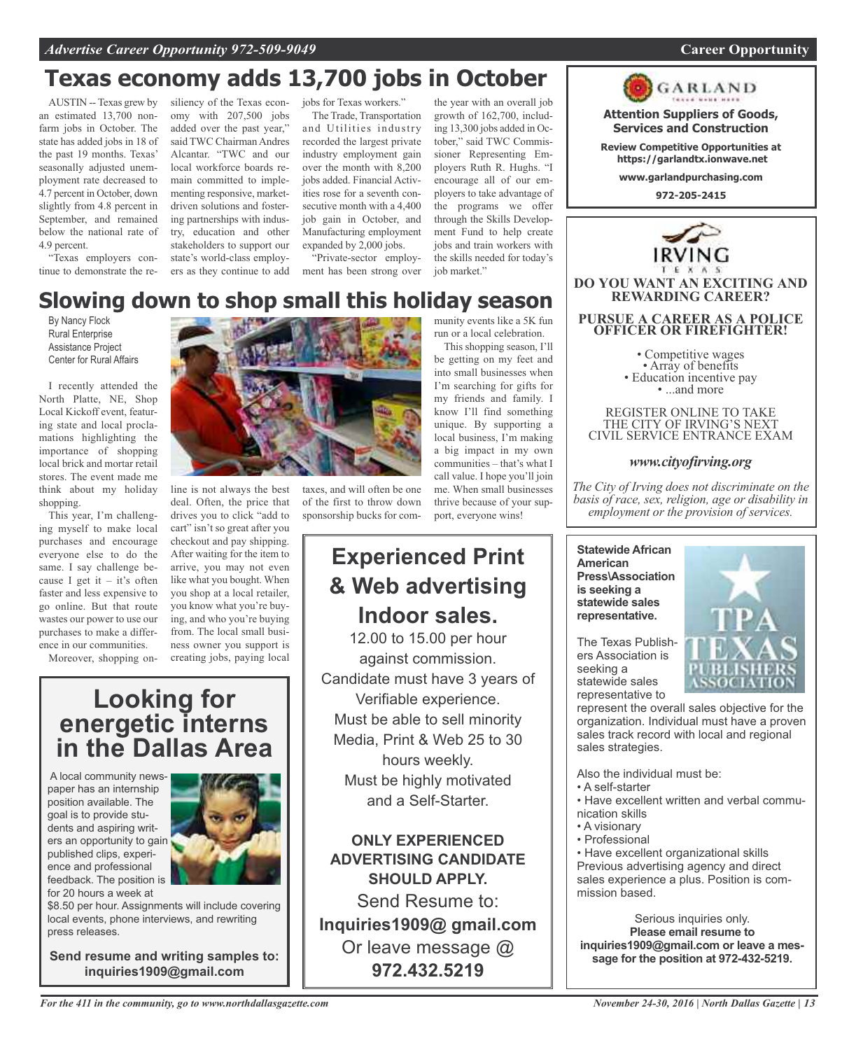# **Texas economy adds 13,700 jobs in October**

AUSTIN -- Texas grew by an estimated 13,700 nonfarm jobs in October. The state has added jobs in 18 of the past 19 months. Texas' seasonally adjusted unemployment rate decreased to 4.7 percent in October, down slightly from 4.8 percent in September, and remained below the national rate of 4.9 percent.

"Texas employers continue to demonstrate the re-

siliency of the Texas econ-<br>jobs for Texas workers." omy with 207,500 jobs added over the past year," said TWC Chairman Andres Alcantar. "TWC and our local workforce boards remain committed to implementing responsive, marketdriven solutions and fostering partnerships with industry, education and other stakeholders to support our state's world-class employers as they continue to add

The Trade, Transportation and Utilities industry recorded the largest private industry employment gain over the month with 8,200 jobs added. Financial Activities rose for a seventh consecutive month with a 4,400 job gain in October, and Manufacturing employment expanded by 2,000 jobs.

"Private-sector employment has been strong over

taxes, and will often be one of the first to throw down sponsorship bucks for com-

**Experienced Print**

**& Web advertising**

**Indoor sales.**

12.00 to 15.00 per hour against commission. Candidate must have 3 years of Verifiable experience. Must be able to sell minority Media, Print & Web 25 to 30 hours weekly. Must be highly motivated and a Self-Starter.

**ONLY EXPERIENCED ADVERTISING CANDIDATE SHOULD APPLY.**

Send Resume to:

**Inquiries1909@ gmail.com**

Or leave message @ **972.432.5219**

the year with an overall job growth of 162,700, including 13,300 jobs added in October," said TWC Commissioner Representing Employers Ruth R. Hughs. "I encourage all of our employers to take advantage of the programs we offer through the Skills Development Fund to help create jobs and train workers with the skills needed for today's job market."

This shopping season, I'll be getting on my feet and into small businesses when I'm searching for gifts for my friends and family. I know I'll find something unique. By supporting a local business, I'm making a big impact in my own communities – that's what I call value. I hope you'll join me. When small businesses thrive because of your support, everyone wins!

GARLAND

**Attention Suppliers of Goods, Services and Construction**

**Review Competitive Opportunities at https://garlandtx.ionwave.net**

**www.garlandpurchasing.com**

**972-205-2415**



• Competitive wages<br>• Array of benefits<br>• Education incentive pay<br>• ...and more

REGISTER ONLINE TO TAKE THE CITY OF IRVING'S NEXT CIVIL SERVICE ENTRANCE EXAM

#### *www.cityofirving.org*

*The City of Irving does not discriminate on the basis of race, sex, religion, age or disability in employment or the provision of services.*

**Statewide African American Press\Association is seeking a statewide sales representative.**

The Texas Publishers Association is seeking a statewide sales representative to

represent the overall sales objective for the organization. Individual must have a proven sales track record with local and regional sales strategies.

Also the individual must be:

- A self-starter
- Have excellent written and verbal communication skills
- A visionary
- Professional

• Have excellent organizational skills Previous advertising agency and direct sales experience a plus. Position is commission based.

Serious inquiries only. **Please email resume to inquiries1909@gmail.com or leave a message for the position at 972-432-5219.**

#### By Nancy Flock munity events like a 5K fun run or a local celebration. **Slowing down to shop small this holiday season**

Rural Enterprise Assistance Project Center for Rural Affairs

I recently attended the North Platte, NE, Shop Local Kickoff event, featuring state and local proclamations highlighting the importance of shopping local brick and mortar retail stores. The event made me think about my holiday shopping.

This year, I'm challenging myself to make local purchases and encourage everyone else to do the same. I say challenge because I get it – it's often faster and less expensive to go online. But that route wastes our power to use our purchases to make a difference in our communities.

Moreover, shopping on-



line is not always the best deal. Often, the price that drives you to click "add to cart" isn't so great after you checkout and pay shipping. After waiting for the item to arrive, you may not even like what you bought. When you shop at a local retailer, you know what you're buying, and who you're buying from. The local small business owner you support is creating jobs, paying local

# **Looking for energetic interns in the Dallas Area**

A local community newspaper has an internship position available. The goal is to provide students and aspiring writers an opportunity to gain published clips, experience and professional feedback. The position is for 20 hours a week at



\$8.50 per hour. Assignments will include covering local events, phone interviews, and rewriting press releases.

**Send resume and writing samples to: inquiries1909@gmail.com**



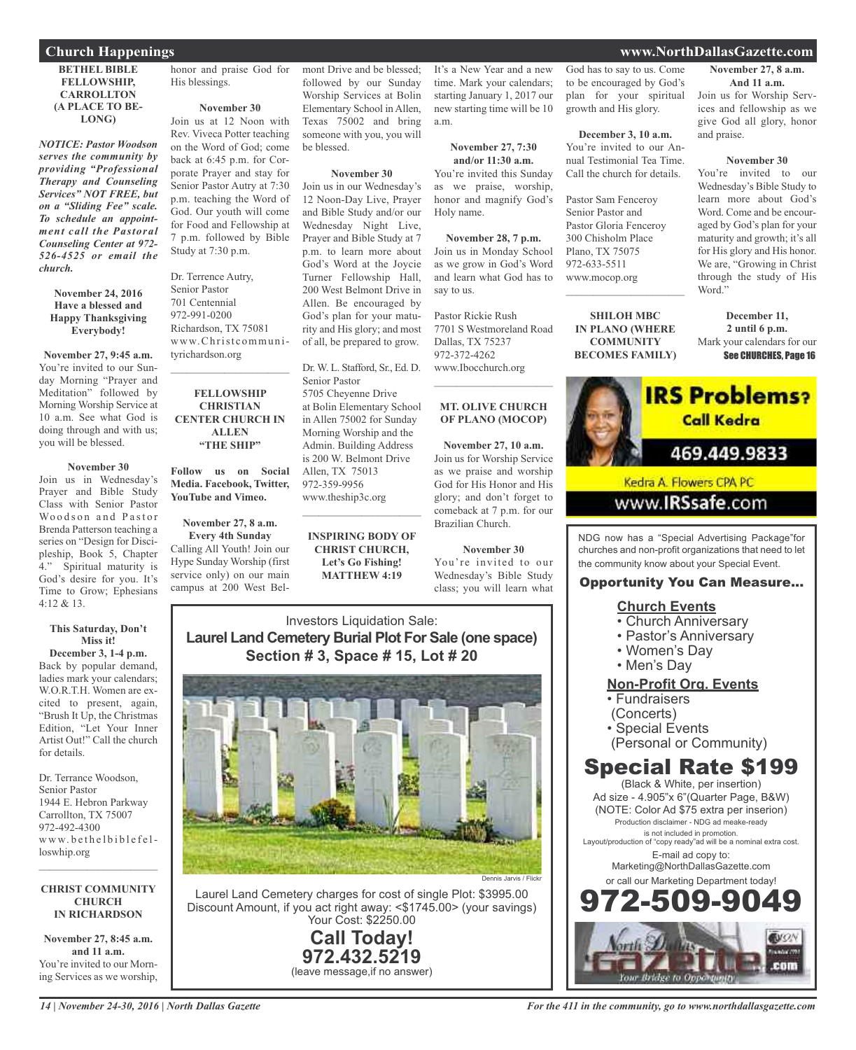**BETHEL BIBLE FELLOWSHIP, CARROLLTON (A PLACE TO BE-LONG)**

*NOTICE: Pastor Woodson serves the community by providing "Professional Therapy and Counseling Services" NOT FREE, but on a "Sliding Fee" scale. To schedule an appointment call the Pastoral Counseling Center at 972- 526-4525 or email the church.*

#### **November 24, 2016 Have a blessed and Happy Thanksgiving Everybody!**

**November 27, 9:45 a.m.** You're invited to our Sunday Morning "Prayer and Meditation" followed by Morning Worship Service at 10 a.m. See what God is doing through and with us; you will be blessed.

#### **November 30**

Join us in Wednesday's Prayer and Bible Study Class with Senior Pastor Woodson and Pastor Brenda Patterson teaching a series on "Design for Discipleship, Book 5, Chapter 4." Spiritual maturity is God's desire for you. It's Time to Grow; Ephesians 4:12 & 13.

#### **This Saturday, Don't Miss it!**

**December 3, 1-4 p.m.** Back by popular demand, ladies mark your calendars; W.O.R.T.H. Women are excited to present, again, "Brush It Up, the Christmas Edition, "Let Your Inner Artist Out!" Call the church for details.

Dr. Terrance Woodson, Senior Pastor 1944 E. Hebron Parkway Carrollton, TX 75007 972-492-4300 www.bethelbiblefelloswhip.org  $\mathcal{L}$  , and the set of the set of the set of the set of the set of the set of the set of the set of the set of the set of the set of the set of the set of the set of the set of the set of the set of the set of the set

#### **CHRIST COMMUNITY CHURCH IN RICHARDSON**

**November 27, 8:45 a.m. and 11 a.m.** You're invited to our Morning Services as we worship, honor and praise God for His blessings.

#### **November 30**

Join us at 12 Noon with Rev. Viveca Potter teaching on the Word of God; come back at 6:45 p.m. for Corporate Prayer and stay for Senior Pastor Autry at 7:30 p.m. teaching the Word of God. Our youth will come for Food and Fellowship at 7 p.m. followed by Bible Study at 7:30 p.m.

Dr. Terrence Autry, Senior Pastor 701 Centennial 972-991-0200 Richardson, TX 75081 www.Christ communityrichardson.org

 $\overline{\phantom{a}}$  , and the set of the set of the set of the set of the set of the set of the set of the set of the set of the set of the set of the set of the set of the set of the set of the set of the set of the set of the s

#### **FELLOWSHIP CHRISTIAN CENTER CHURCH IN ALLEN "THE SHIP"**

**Follow us on Social Media. Facebook, Twitter, YouTube and Vimeo.**

**November 27, 8 a.m. Every 4th Sunday** Calling All Youth! Join our Hype Sunday Worship (first service only) on our main campus at 200 West Belmont Drive and be blessed; followed by our Sunday Worship Services at Bolin Elementary School in Allen, Texas 75002 and bring someone with you, you will be blessed.

#### **November 30**

Join us in our Wednesday's 12 Noon-Day Live, Prayer and Bible Study and/or our Wednesday Night Live, Prayer and Bible Study at 7 p.m. to learn more about God's Word at the Joycie Turner Fellowship Hall, 200 West Belmont Drive in Allen. Be encouraged by God's plan for your maturity and His glory; and most of all, be prepared to grow.

Dr. W. L. Stafford, Sr., Ed. D. Senior Pastor 5705 Cheyenne Drive at Bolin Elementary School

in Allen 75002 for Sunday Morning Worship and the Admin. Building Address is 200 W. Belmont Drive Allen, TX 75013 972-359-9956 www.theship3c.org

**INSPIRING BODY OF CHRIST CHURCH, Let's Go Fishing! MATTHEW 4:19**

 $\overline{\phantom{a}}$  , and the set of the set of the set of the set of the set of the set of the set of the set of the set of the set of the set of the set of the set of the set of the set of the set of the set of the set of the s

It's a New Year and a new time. Mark your calendars; starting January 1, 2017 our new starting time will be 10 a.m.

**November 27, 7:30 and/or 11:30 a.m.** You're invited this Sunday as we praise, worship, honor and magnify God's Holy name.

**November 28, 7 p.m.** Join us in Monday School as we grow in God's Word and learn what God has to say to us.

Pastor Rickie Rush 7701 S Westmoreland Road Dallas, TX 75237 972-372-4262 www.Ibocchurch.org

#### **MT. OLIVE CHURCH OF PLANO (MOCOP)**

 $\mathcal{L}$  , and the set of the set of the set of the set of the set of the set of the set of the set of the set of the set of the set of the set of the set of the set of the set of the set of the set of the set of the set

**November 27, 10 a.m.** Join us for Worship Service as we praise and worship God for His Honor and His glory; and don't forget to comeback at 7 p.m. for our Brazilian Church.

#### **November 30**

You're invited to our Wednesday's Bible Study class; you will learn what

#### Investors Liquidation Sale: **Laurel Land Cemetery Burial Plot For Sale (one space) Section # 3, Space # 15, Lot # 20**



Laurel Land Cemetery charges for cost of single Plot: \$3995.00 Discount Amount, if you act right away: <\$1745.00> (your savings) Your Cost: \$2250.00

> **Call Today! 972.432.5219** (leave message,if no answer)

God has to say to us. Come to be encouraged by God's plan for your spiritual growth and His glory.

**December 3, 10 a.m.** You're invited to our Annual Testimonial Tea Time. Call the church for details.

Pastor Sam Fenceroy Senior Pastor and Pastor Gloria Fenceroy 300 Chisholm Place Plano, TX 75075 972-633-5511 www.mocop.org

**SHILOH MBC IN PLANO (WHERE COMMUNITY BECOMES FAMILY)**

 $\mathcal{L}_\text{max}$  , which is a set of the set of the set of the set of the set of the set of the set of the set of the set of the set of the set of the set of the set of the set of the set of the set of the set of the set of

**November 27, 8 a.m. And 11 a.m.**

Join us for Worship Services and fellowship as we give God all glory, honor and praise.

#### **November 30**

You're invited to our Wednesday's Bible Study to learn more about God's Word. Come and be encouraged by God's plan for your maturity and growth; it's all for His glory and His honor. We are, "Growing in Christ through the study of His Word"

**December 11, 2 until 6 p.m.** Mark your calendars for our See CHURCHES, Page 16



www.**IRSsafe.com** 

NDG now has a "Special Advertising Package"for churches and non-profit organizations that need to let the community know about your Special Event.

#### Opportunity You Can Measure...

#### **Church Events**

- Church Anniversary
- Pastor's Anniversary
- Women's Day
- Men's Day

#### **Non-Profit Org. Events**

- Fundraisers
- (Concerts)
- Special Events
- (Personal or Community)

# Special Rate \$199

(Black & White, per insertion) Ad size - 4.905"x 6"(Quarter Page, B&W) (NOTE: Color Ad \$75 extra per inserion) Production disclaimer - NDG ad meake-ready is not included in promotion. Layout/production of "copy ready"ad will be a nominal extra cost. E-mail ad copy to: Marketing@NorthDallasGazette.com or call our Marketing Department today! 972-509-9049



#### **Church Happenings www.NorthDallasGazette.com**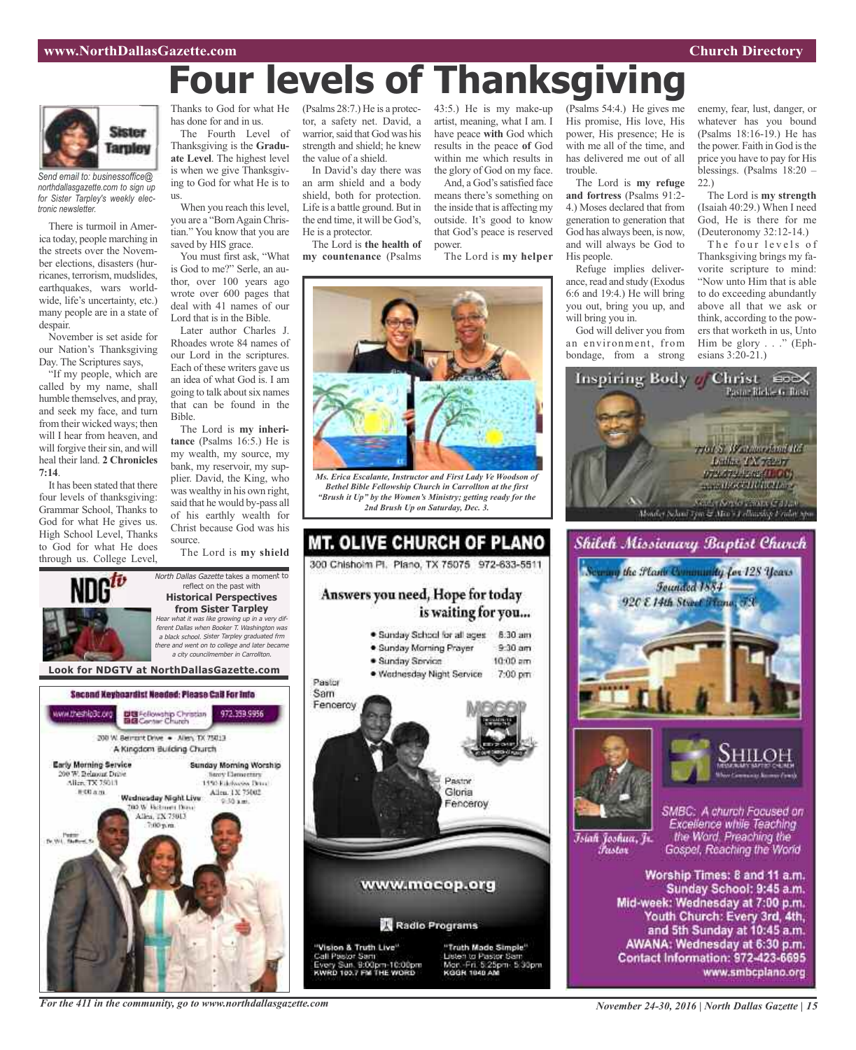# **Four levels of Thanksgiving**



*Send email to: businessoffice@ northdallasgazette.com to sign up for Sister Tarpley's weekly electronic newsletter.*

There is turmoil in America today, people marching in the streets over the November elections, disasters (hurricanes, terrorism, mudslides, earthquakes, wars worldwide, life's uncertainty, etc.) many people are in a state of despair.

November is set aside for our Nation's Thanksgiving Day. The Scriptures says,

"If my people, which are called by my name, shall humble themselves, and pray, and seek my face, and turn from their wicked ways; then will I hear from heaven, and will forgive their sin, and will heal their land. **2 Chronicles 7:14**.

It has been stated that there four levels of thanksgiving: Grammar School, Thanks to God for what He gives us. High School Level, Thanks to God for what He does through us. College Level,

Thanks to God for what He has done for and in us. The Fourth Level of Thanksgiving is the **Gradu-**

**ate Level**. The highest level is when we give Thanksgiving to God for what He is to us.

When you reach this level, you are a "BornAgain Christian." You know that you are saved by HIS grace.

You must first ask, "What is God to me?" Serle, an author, over 100 years ago wrote over 600 pages that deal with 41 names of our Lord that is in the Bible.

Later author Charles J. Rhoades wrote 84 names of our Lord in the scriptures. Each of these writers gave us an idea of what God is. I am going to talk about six names that can be found in the Bible.

The Lord is **my inheritance** (Psalms 16:5.) He is my wealth, my source, my bank, my reservoir, my supplier. David, the King, who was wealthy in his own right, said that he would by-pass all of his earthly wealth for Christ because God was his source.

The Lord is **my shield**

North Dallas Gazette takes a moment to reflect on the past with **Historical Perspectives from Sister Tarpley** Hear what it was like growing up in <sup>a</sup> very different Dallas when Booker T. Washington was

(Psalms 28:7.) He is a protector, a safety net. David, a warrior, said that God was his strength and shield; he knew the value of a shield.

In David's day there was an arm shield and a body shield, both for protection. Life is a battle ground. But in the end time, it will be God's, He is a protector. The Lord is **the health of**

**my countenance** (Psalms

43:5.) He is my make-up artist, meaning, what I am. I have peace **with** God which results in the peace **of** God within me which results in the glory of God on my face.

And, a God's satisfied face means there's something on the inside that is affecting my outside. It's good to know that God's peace is reserved power.

The Lord is **my helper**



*Ms. Erica Escalante, Instructor and First Lady Ve Woodson of Bethel Bible Fellowship Church in Carrollton at the first "Brush it Up" by the Women's Ministry; getting ready for the 2nd Brush Up on Saturday, Dec. 3.*



(Psalms 54:4.) He gives me His promise, His love, His power, His presence; He is with me all of the time, and has delivered me out of all trouble.

The Lord is **my refuge and fortress** (Psalms 91:2- 4.) Moses declared that from generation to generation that God has always been, is now, and will always be God to His people.

Refuge implies deliverance, read and study (Exodus 6:6 and 19:4.) He will bring you out, bring you up, and will bring you in.

God will deliver you from an environment, from bondage, from a strong enemy, fear, lust, danger, or whatever has you bound (Psalms 18:16-19.) He has the power. Faith in God is the price you have to pay for His blessings. (Psalms 18:20 –  $22.$ 

The Lord is **my strength** (Isaiah 40:29.) When I need God, He is there for me (Deuteronomy 32:12-14.)

The four levels of Thanksgiving brings my favorite scripture to mind: "Now unto Him that is able to do exceeding abundantly above all that we ask or think, according to the powers that worketh in us, Unto Him be glory . . ." (Ephesians 3:20-21.)







Islah Joshua, Jr. *Tustov* 

SMBC: A church Focused on Excellence while Teaching the Word. Preaching the Gospel, Reaching the World

Worship Times: 8 and 11 a.m. Sunday School: 9:45 a.m. Mid-week: Wednesday at 7:00 p.m. Youth Church: Every 3rd, 4th, and 5th Sunday at 10:45 a.m. AWANA: Wednesday at 6:30 p.m. Contact Information: 972-423-6695 www.smbcplano.org

<sup>a</sup> black school. Sister Tarpley graduated frm there and went on to college and later became <sup>a</sup> city councilmember in Carrollton. **Look for NDGTV at NorthDallasGazette.com**Second Keyboardist Needed: Please CaB For Info DE Fellowship Christian<br>BIB Center Church ww.theship3c.org 972.359.9956 200 W. Bernsht Drive . - Allen, TX 75013 A Kingdom Building Church Early Morning Service Sunday Morning Worship 0 W. Belmunt Drive **Nory Demectors** Alice TX 75013 1450 Ethnologies Drug- $0.004m$ Allen, 1X 75002 Wadnasday Night Live **DO W. Retroem Days** Allen, TX 75013 Tv.Wit. New

*For the 411 in the community, go to www.northdallasgazette.com*